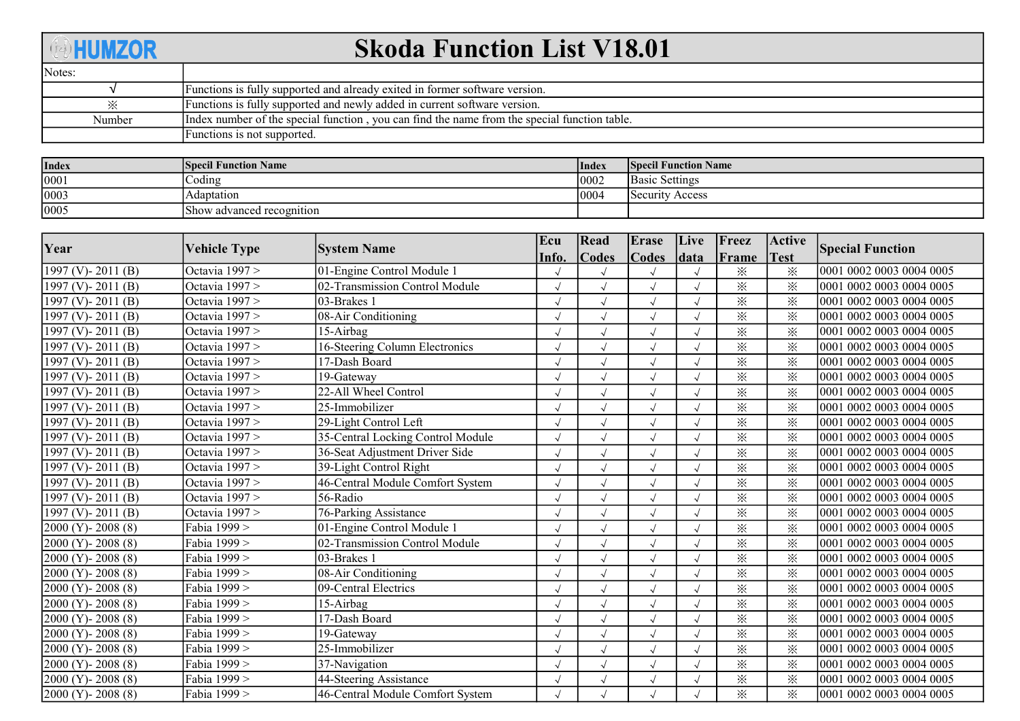## **AHUMZOR**

## Skoda Function List V18.01

| Notes: |                                                                                              |
|--------|----------------------------------------------------------------------------------------------|
|        | Functions is fully supported and already exited in former software version.                  |
| ∙×∙    | Functions is fully supported and newly added in current software version.                    |
| Number | Index number of the special function, you can find the name from the special function table. |
|        | Functions is not supported.                                                                  |

| <b>Index</b> | <b>Specil Function Name</b> | <b>Index</b> | <b>Specil Function Name</b> |
|--------------|-----------------------------|--------------|-----------------------------|
| 0001         | Coding                      | 0002         | <b>Basic Settings</b>       |
| 0003         | Adaptation                  | 0004         | Security Access             |
| 0005         | Show advanced recognition   |              |                             |

| Year                    |                     |                                   | Ecu   | Read                 | Erase        | Live       | Freez    | Active      |                          |
|-------------------------|---------------------|-----------------------------------|-------|----------------------|--------------|------------|----------|-------------|--------------------------|
|                         | <b>Vehicle Type</b> | <b>System Name</b>                | Info. | <b>Codes</b>         | <b>Codes</b> | data       | Frame    | <b>Test</b> | <b>Special Function</b>  |
| 1997 (V) - 2011 (B)     | Octavia 1997 >      | 01-Engine Control Module 1        |       |                      |              |            | $\times$ | ፠           | 0001 0002 0003 0004 0005 |
| 1997 (V) - 2011 (B)     | Octavia 1997 >      | 02-Transmission Control Module    |       | $\sqrt{ }$           | $\sqrt{}$    |            | $\times$ | $\times$    | 0001 0002 0003 0004 0005 |
| 1997 (V) - 2011 (B)     | Octavia 1997 >      | 03-Brakes 1                       |       | $\sqrt{ }$           | $\sqrt{}$    |            | $\times$ | $\times$    | 0001 0002 0003 0004 0005 |
| 1997 (V) - 2011 (B)     | Octavia 1997 >      | 08-Air Conditioning               |       |                      | $\sqrt{ }$   |            | $\times$ | ፠           | 0001 0002 0003 0004 0005 |
| 1997 (V) - 2011 (B)     | Octavia 1997 >      | 15-Airbag                         |       |                      | $\sqrt{}$    |            | $\times$ | $\times$    | 0001 0002 0003 0004 0005 |
| 1997 (V) - 2011 (B)     | Octavia 1997 >      | 16-Steering Column Electronics    |       | $\sqrt{ }$           | $\sqrt{}$    |            | $\times$ | ⋇           | 0001 0002 0003 0004 0005 |
| 1997 (V) - 2011 (B)     | Octavia 1997 >      | 17-Dash Board                     |       | $\sqrt{ }$           | $\sqrt{}$    |            | $\times$ | $\times$    | 0001 0002 0003 0004 0005 |
| 1997 (V) - 2011 (B)     | Octavia 1997 >      | 19-Gateway                        |       | $\sqrt{ }$           | $\sqrt{}$    |            | $\times$ | $\times$    | 0001 0002 0003 0004 0005 |
| 1997 (V) - 2011 (B)     | Octavia 1997 >      | 22-All Wheel Control              |       | $\sqrt{ }$           | $\sqrt{}$    |            | $\times$ | $\times$    | 0001 0002 0003 0004 0005 |
| 1997 (V) - 2011 (B)     | Octavia 1997 >      | 25-Immobilizer                    |       | $\sqrt{ }$           | $\sqrt{2}$   | $\sqrt{ }$ | $\times$ | $\times$    | 0001 0002 0003 0004 0005 |
| 1997 (V) - 2011 (B)     | Octavia 1997 >      | 29-Light Control Left             |       |                      | $\sqrt{}$    |            | $\times$ | $\times$    | 0001 0002 0003 0004 0005 |
| 1997 (V) - 2011 (B)     | Octavia 1997 >      | 35-Central Locking Control Module |       | $\sqrt{ }$           | $\sqrt{ }$   |            | $\times$ | $\times$    | 0001 0002 0003 0004 0005 |
| 1997 (V) - 2011 (B)     | Octavia 1997 >      | 36-Seat Adjustment Driver Side    |       | $\sqrt{}$            | $\sqrt{}$    |            | $\times$ | $\times$    | 0001 0002 0003 0004 0005 |
| 1997 (V) - 2011 (B)     | Octavia 1997 >      | 39-Light Control Right            |       | $\sqrt{ }$           | $\sqrt{ }$   |            | $\times$ | $\times$    | 0001 0002 0003 0004 0005 |
| 1997 (V) - 2011 (B)     | Octavia 1997 >      | 46-Central Module Comfort System  |       |                      | $\sqrt{ }$   |            | $\times$ | ⋇           | 0001 0002 0003 0004 0005 |
| 1997 (V) - 2011 (B)     | Octavia 1997 >      | 56-Radio                          |       |                      | $\sqrt{}$    |            | $\times$ | ፠           | 0001 0002 0003 0004 0005 |
| 1997 (V) - 2011 (B)     | Octavia 1997 >      | 76-Parking Assistance             |       | $\sqrt{ }$           | $\sqrt{ }$   |            | $\times$ | $\times$    | 0001 0002 0003 0004 0005 |
| $2000 (Y) - 2008 (8)$   | Fabia 1999 >        | 01-Engine Control Module 1        |       | $\sqrt{}$            | $\sqrt{ }$   |            | $\times$ | $\times$    | 0001 0002 0003 0004 0005 |
| $[2000 (Y) - 2008 (8)]$ | Fabia 1999 >        | 02-Transmission Control Module    |       | $\sqrt{}$            | $\sqrt{ }$   |            | $\times$ | $\times$    | 0001 0002 0003 0004 0005 |
| $2000 (Y) - 2008 (8)$   | Fabia 1999 >        | 03-Brakes 1                       |       |                      |              |            | $\times$ | $\times$    | 0001 0002 0003 0004 0005 |
| $2000 (Y) - 2008 (8)$   | Fabia 1999 >        | 08-Air Conditioning               |       | $\sqrt{ }$           | $\checkmark$ |            | $\times$ | $\times$    | 0001 0002 0003 0004 0005 |
| $2000 (Y) - 2008 (8)$   | Fabia 1999 >        | 09-Central Electrics              |       | $\sqrt{ }$           | $\sqrt{ }$   |            | $\times$ | $\times$    | 0001 0002 0003 0004 0005 |
| $2000 (Y) - 2008 (8)$   | Fabia 1999 >        | 15-Airbag                         |       | $\sqrt{ }$           | $\sqrt{ }$   |            | $\times$ | $\times$    | 0001 0002 0003 0004 0005 |
| $2000 (Y) - 2008 (8)$   | Fabia 1999 >        | 17-Dash Board                     |       | $\sqrt{ }$           | $\sqrt{ }$   |            | $\times$ | $\times$    | 0001 0002 0003 0004 0005 |
| $2000 (Y) - 2008 (8)$   | Fabia 1999 >        | 19-Gateway                        |       | $\sqrt{}$            | $\checkmark$ |            | $\times$ | $\times$    | 0001 0002 0003 0004 0005 |
| $2000 (Y) - 2008 (8)$   | Fabia 1999 >        | 25-Immobilizer                    |       | $\sqrt{ }$           | $\sqrt{}$    |            | $\times$ | $\times$    | 0001 0002 0003 0004 0005 |
| $2000 (Y) - 2008 (8)$   | Fabia 1999 >        | 37-Navigation                     |       |                      | $\sqrt{ }$   |            | $\times$ | ⋇           | 0001 0002 0003 0004 0005 |
| $2000 (Y) - 2008 (8)$   | Fabia 1999 >        | 44-Steering Assistance            |       | $\sqrt{\phantom{a}}$ | $\sqrt{}$    |            | $\times$ | $\times$    | 0001 0002 0003 0004 0005 |
| $2000 (Y) - 2008 (8)$   | Fabia 1999 >        | 46-Central Module Comfort System  |       | $\sqrt{}$            | $\sqrt{2}$   |            | $\times$ | $\times$    | 0001 0002 0003 0004 0005 |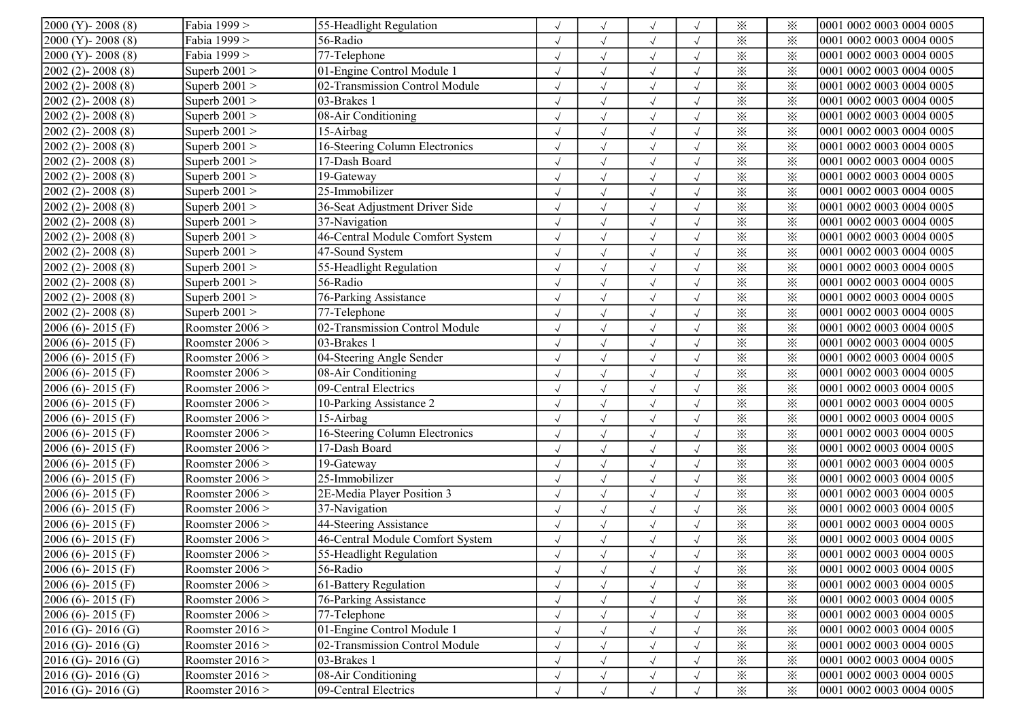| $2000 (Y) - 2008 (8)$   | Fabia 1999 >      | 55-Headlight Regulation          |            |                      | $\sqrt{ }$           | $\sqrt{ }$ | $\times$ | ⋇        | 0001 0002 0003 0004 0005 |
|-------------------------|-------------------|----------------------------------|------------|----------------------|----------------------|------------|----------|----------|--------------------------|
| $2000 (Y) - 2008 (8)$   | Fabia 1999 >      | 56-Radio                         | $\sqrt{ }$ | $\sqrt{ }$           | $\sqrt{ }$           | $\sqrt{ }$ | $\times$ | $\times$ | 0001 0002 0003 0004 0005 |
| $2000 (Y) - 2008 (8)$   | Fabia 1999 >      | 77-Telephone                     | $\sqrt{ }$ | $\checkmark$         | $\sqrt{}$            | $\sqrt{}$  | $\times$ | $\times$ | 0001 0002 0003 0004 0005 |
| $2002(2) - 2008(8)$     | Superb $2001$ >   | 01-Engine Control Module 1       |            | $\checkmark$         | $\sqrt{\phantom{a}}$ |            | $\times$ | $\times$ | 0001 0002 0003 0004 0005 |
| $2002(2) - 2008(8)$     | Superb $2001$ >   | 02-Transmission Control Module   |            | $\sqrt{ }$           | $\sqrt{ }$           | $\sqrt{}$  | $\times$ | $\times$ | 0001 0002 0003 0004 0005 |
| $[2002 (2) - 2008 (8)]$ | Superb $2001$ >   | 03-Brakes 1                      |            | $\sqrt{ }$           | $\sqrt{ }$           | $\sqrt{ }$ | $\times$ | $\times$ | 0001 0002 0003 0004 0005 |
| $2002(2) - 2008(8)$     | Superb $2001$ >   | 08-Air Conditioning              | $\sqrt{ }$ | $\sqrt{ }$           | $\sqrt{ }$           | $\sqrt{}$  | $\times$ | ⋇        | 0001 0002 0003 0004 0005 |
| $2002(2) - 2008(8)$     | Superb $2001$ >   | 15-Airbag                        |            | $\sqrt{ }$           | $\sqrt{ }$           | $\sqrt{}$  | $\times$ | $\times$ | 0001 0002 0003 0004 0005 |
| $2002(2) - 2008(8)$     | Superb $2001$ >   | 16-Steering Column Electronics   | $\sqrt{ }$ | $\sqrt{ }$           | $\sqrt{ }$           | $\sqrt{ }$ | ⋇        | $\times$ | 0001 0002 0003 0004 0005 |
| $[2002 (2) - 2008 (8)]$ | Superb $2001$ >   | 17-Dash Board                    |            | $\checkmark$         | $\sqrt{ }$           |            | $\times$ | $\times$ | 0001 0002 0003 0004 0005 |
| $2002(2) - 2008(8)$     | Superb $2001 >$   | 19-Gateway                       |            | $\sqrt{ }$           | $\sqrt{ }$           |            | $\times$ | $\times$ | 0001 0002 0003 0004 0005 |
| $[2002 (2) - 2008 (8)]$ | Superb $2001$ >   | 25-Immobilizer                   |            |                      | $\sqrt{ }$           |            | $\times$ | $\times$ | 0001 0002 0003 0004 0005 |
| $2002(2) - 2008(8)$     | Superb $2001$ >   | 36-Seat Adjustment Driver Side   |            | $\sqrt{ }$           | $\sqrt{ }$           | $\sqrt{}$  | $\times$ | $\times$ | 0001 0002 0003 0004 0005 |
| $2002(2) - 2008(8)$     | Superb $2001$ >   | 37-Navigation                    | $\sqrt{ }$ | $\sqrt{ }$           | $\sqrt{ }$           | $\sqrt{}$  | $\times$ | $\times$ | 0001 0002 0003 0004 0005 |
| $[2002 (2) - 2008 (8)]$ | Superb $2001$ >   | 46-Central Module Comfort System | $\sqrt{ }$ | $\sqrt{ }$           | $\sqrt{ }$           | $\sqrt{ }$ | $\times$ | $\times$ | 0001 0002 0003 0004 0005 |
| $2002(2) - 2008(8)$     | Superb $2001$ >   | 47-Sound System                  |            | $\checkmark$         | $\sqrt{ }$           | $\sqrt{ }$ | $\times$ | $\times$ | 0001 0002 0003 0004 0005 |
| $2002(2) - 2008(8)$     | Superb $2001$ >   | 55-Headlight Regulation          |            | $\sqrt{ }$           | $\sqrt{ }$           |            | $\times$ | $\times$ | 0001 0002 0003 0004 0005 |
| $[2002 (2) - 2008 (8)]$ | Superb $2001$ >   | 56-Radio                         |            | $\sqrt{ }$           | $\sqrt{ }$           | $\sqrt{}$  | $\times$ | $\times$ | 0001 0002 0003 0004 0005 |
| $[2002 (2) - 2008 (8)]$ | Superb $2001$ >   | 76-Parking Assistance            | $\sqrt{ }$ | $\sqrt{ }$           | $\sqrt{ }$           | $\sqrt{}$  | $\times$ | $\times$ | 0001 0002 0003 0004 0005 |
| $2002(2) - 2008(8)$     | Superb $2001 >$   | 77-Telephone                     | $\sqrt{ }$ | $\sqrt{ }$           | $\sqrt{ }$           | $\sqrt{}$  | $\times$ | ⋇        | 0001 0002 0003 0004 0005 |
| $2006(6) - 2015(F)$     | Roomster 2006 >   | 02-Transmission Control Module   | $\cdot$ l  | $\sqrt{ }$           | $\sqrt{ }$           | $\sqrt{ }$ | ⋇        | $\times$ | 0001 0002 0003 0004 0005 |
| $2006(6) - 2015(F)$     | Roomster 2006 >   | 03-Brakes 1                      |            | $\sqrt{ }$           | $\sqrt{ }$           | $\sqrt{ }$ | ⋇        | $\times$ | 0001 0002 0003 0004 0005 |
| $2006(6) - 2015(F)$     | Roomster 2006 >   | 04-Steering Angle Sender         |            | $\sqrt{ }$           | $\sqrt{ }$           |            | $\times$ | ⋇        | 0001 0002 0003 0004 0005 |
| $2006(6) - 2015(F)$     | Roomster 2006 >   | 08-Air Conditioning              |            |                      | $\sqrt{ }$           |            | ⋇        | $\times$ | 0001 0002 0003 0004 0005 |
| $2006(6) - 2015(F)$     | Roomster 2006 >   | 09-Central Electrics             |            | $\sqrt{ }$           | $\sqrt{ }$           | $\sqrt{2}$ | $\times$ | $\times$ | 0001 0002 0003 0004 0005 |
| 2006 (6)-2015 (F)       | Roomster 2006 >   | 10-Parking Assistance 2          |            | $\sqrt{ }$           | $\sqrt{ }$           | $\sqrt{}$  | $\times$ | $\times$ | 0001 0002 0003 0004 0005 |
| $2006(6) - 2015(F)$     | Roomster $2006$ > | 15-Airbag                        |            | $\sqrt{\phantom{a}}$ | $\sqrt{ }$           | $\sqrt{}$  | $\times$ | $\times$ | 0001 0002 0003 0004 0005 |
| $2006(6) - 2015(F)$     | Roomster 2006 >   | 16-Steering Column Electronics   |            | $\sqrt{ }$           | $\sqrt{ }$           | $\sqrt{ }$ | $\times$ | $\times$ | 0001 0002 0003 0004 0005 |
| $2006(6) - 2015(F)$     | Roomster 2006 >   | 17-Dash Board                    |            | $\sqrt{ }$           | $\sqrt{\phantom{a}}$ |            | $\times$ | $\times$ | 0001 0002 0003 0004 0005 |
| $2006(6) - 2015(F)$     | Roomster 2006 >   | $\overline{19}$ -Gateway         |            |                      | $\sqrt{ }$           |            | $\times$ | $\times$ | 0001 0002 0003 0004 0005 |
| $2006(6) - 2015(F)$     | Roomster 2006 >   | 25-Immobilizer                   | $\sqrt{ }$ | $\sqrt{ }$           | $\sqrt{ }$           | $\sqrt{}$  | $\times$ | $\times$ | 0001 0002 0003 0004 0005 |
| $2006(6) - 2015(F)$     | Roomster 2006 >   | 2E-Media Player Position 3       | $\sqrt{ }$ | $\sqrt{ }$           | $\sqrt{ }$           | $\sqrt{}$  | $\times$ | ⋇        | 0001 0002 0003 0004 0005 |
| $2006(6) - 2015(F)$     | Roomster 2006 >   | 37-Navigation                    | $\sqrt{ }$ | $\sqrt{ }$           | $\sqrt{ }$           | $\sqrt{}$  | $\times$ | $\times$ | 0001 0002 0003 0004 0005 |
| $2006(6) - 2015(F)$     | Roomster 2006 >   | 44-Steering Assistance           | $\sqrt{ }$ | $\sqrt{ }$           | $\sqrt{ }$           | $\sqrt{ }$ | ⋇        | $\times$ | 0001 0002 0003 0004 0005 |
| $2006(6) - 2015(F)$     | Roomster 2006 >   | 46-Central Module Comfort System |            |                      | $\sqrt{ }$           |            | $\times$ | $\times$ | 0001 0002 0003 0004 0005 |
| $2006(6) - 2015(F)$     | Roomster $2006$ > | 55-Headlight Regulation          |            |                      |                      |            | $\times$ | ⋇        | 0001 0002 0003 0004 0005 |
| $2006(6) - 2015(F)$     | Roomster $2006$ > | 56-Radio                         | $\sqrt{ }$ | $\sqrt{ }$           | $\sqrt{ }$           | $\sqrt{2}$ | $\times$ | $\times$ | 0001 0002 0003 0004 0005 |
| $2006(6) - 2015(F)$     | Roomster 2006 >   | 61-Battery Regulation            |            |                      |                      |            | $\times$ | ⋇        | 0001 0002 0003 0004 0005 |
| $2006(6) - 2015(F)$     | Roomster 2006 >   | 76-Parking Assistance            | $\sqrt{ }$ | $\sqrt{ }$           | $\sqrt{ }$           | $\sqrt{}$  | $\times$ | ⋇        | 0001 0002 0003 0004 0005 |
| $2006(6) - 2015(F)$     | Roomster 2006 >   | 77-Telephone                     |            | $\sqrt{}$            | $\sqrt{ }$           | $\sqrt{}$  | $\times$ | $\times$ | 0001 0002 0003 0004 0005 |
| $2016$ (G) - 2016 (G)   | Roomster $2016$ > | 01-Engine Control Module 1       |            |                      | $\sqrt{ }$           |            | $\times$ | $\times$ | 0001 0002 0003 0004 0005 |
| $2016$ (G)-2016 (G)     | Roomster 2016 >   | 02-Transmission Control Module   |            |                      |                      |            | $\times$ | $\times$ | 0001 0002 0003 0004 0005 |
| $2016$ (G) - 2016 (G)   | Roomster 2016 >   | 03-Brakes 1                      |            |                      | $\sqrt{ }$           |            | $\times$ | $\times$ | 0001 0002 0003 0004 0005 |
| $2016$ (G) - 2016 (G)   | Roomster 2016 >   | 08-Air Conditioning              |            | $\sqrt{ }$           | $\sqrt{ }$           | $\sqrt{2}$ | $\times$ | $\times$ | 0001 0002 0003 0004 0005 |
| $2016$ (G) - 2016 (G)   | Roomster 2016 >   | 09-Central Electrics             | $\sqrt{ }$ | $\sqrt{ }$           | $\sqrt{ }$           | $\sqrt{}$  | $\times$ | $\times$ | 0001 0002 0003 0004 0005 |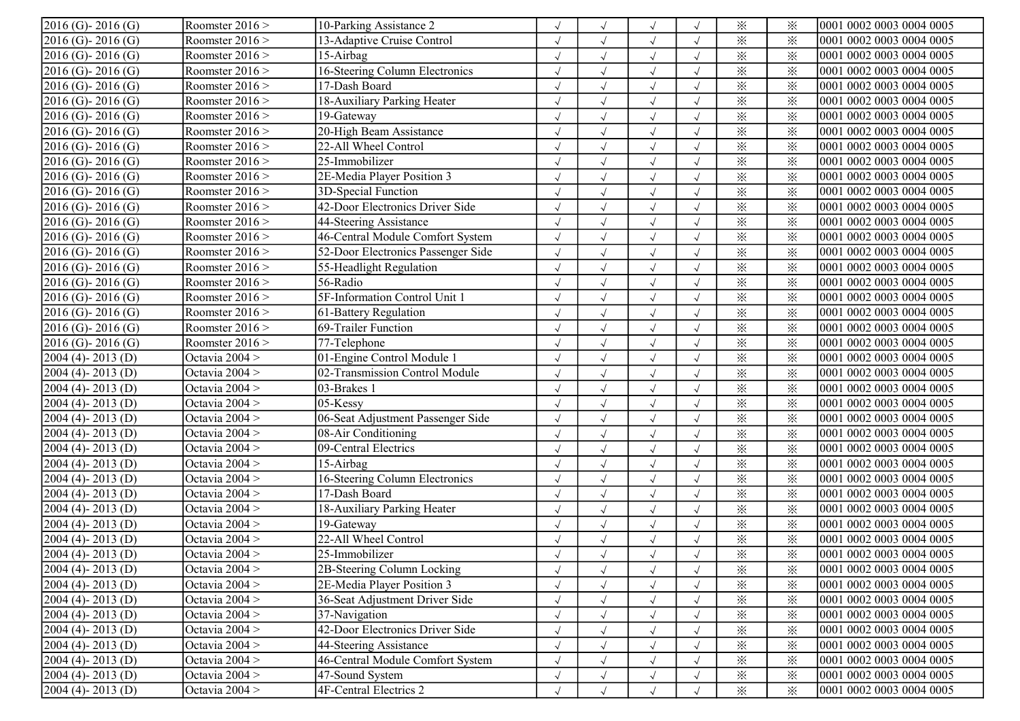| $\overline{2016}$ (G) - 2016 (G) | Roomster $2016$ > | 10-Parking Assistance 2            |            | $\sqrt{}$    | $\sqrt{ }$           |            | $\times$                | $\times$ | 0001 0002 0003 0004 0005 |
|----------------------------------|-------------------|------------------------------------|------------|--------------|----------------------|------------|-------------------------|----------|--------------------------|
| $2016$ (G)-2016 (G)              | Roomster $2016$ > | 13-Adaptive Cruise Control         |            | $\sqrt{ }$   | $\sqrt{ }$           | $\sqrt{}$  | $\times$                | $\times$ | 0001 0002 0003 0004 0005 |
| $2016$ (G)-2016 (G)              | Roomster $2016$ > | 15-Airbag                          | $\sqrt{ }$ | $\sqrt{ }$   | $\sqrt{ }$           | $\sqrt{ }$ | $\times$                | $\times$ | 0001 0002 0003 0004 0005 |
| $2016$ (G)-2016 (G)              | Roomster $2016$ > | 16-Steering Column Electronics     |            | $\sqrt{}$    | $\sqrt{ }$           |            | $\times$                | $\times$ | 0001 0002 0003 0004 0005 |
| 2016 (G)-2016 (G)                | Roomster $2016$ > | 17-Dash Board                      |            | $\sqrt{}$    | $\sqrt{ }$           |            | $\times$                | $\times$ | 0001 0002 0003 0004 0005 |
| 2016 (G)-2016 (G)                | Roomster $2016$ > | 18-Auxiliary Parking Heater        |            |              | $\sqrt{ }$           |            | $\times$                | $\times$ | 0001 0002 0003 0004 0005 |
| $2016$ (G)-2016 (G)              | Roomster $2016$ > | 19-Gateway                         |            | $\sqrt{ }$   | $\sqrt{ }$           | $\sqrt{ }$ | $\times$                | $\times$ | 0001 0002 0003 0004 0005 |
| $2016$ (G)-2016 (G)              | Roomster $2016$ > | 20-High Beam Assistance            | $\sqrt{ }$ | $\sqrt{ }$   | $\sqrt{ }$           | $\sqrt{ }$ | $\times$                | $\times$ | 0001 0002 0003 0004 0005 |
| $2016$ (G)-2016 (G)              | Roomster $2016$ > | 22-All Wheel Control               | $\sqrt{ }$ | $\sqrt{ }$   | $\sqrt{ }$           | $\sqrt{ }$ | $\times$                | $\times$ | 0001 0002 0003 0004 0005 |
| 2016 (G)-2016 (G)                | Roomster $2016$ > | 25-Immobilizer                     |            | $\sqrt{ }$   | $\sqrt{2}$           |            | $\times$                | $\times$ | 0001 0002 0003 0004 0005 |
| $2016$ (G)- $2016$ (G)           | Roomster $2016$ > | 2E-Media Player Position 3         |            | $\sqrt{ }$   | $\sqrt{ }$           |            | $\times$                | $\times$ | 0001 0002 0003 0004 0005 |
| $2016$ (G) - $2016$ (G)          | Roomster $2016$ > | 3D-Special Function                |            | $\sqrt{ }$   | $\sqrt{ }$           |            | $\times$                | $\times$ | 0001 0002 0003 0004 0005 |
| $2016$ (G)- $2016$ (G)           | Roomster $2016$ > | 42-Door Electronics Driver Side    |            |              | $\sqrt{ }$           |            | $\times$                | $\times$ | 0001 0002 0003 0004 0005 |
| $2016$ (G)-2016 (G)              | Roomster $2016$ > | 44-Steering Assistance             |            | $\sqrt{}$    | $\sqrt{ }$           |            | $\times$                | $\times$ | 0001 0002 0003 0004 0005 |
| $2016$ (G)-2016 (G)              | Roomster $2016$ > | 46-Central Module Comfort System   | $\sqrt{ }$ | $\sqrt{ }$   | $\sqrt{ }$           | $\sqrt{}$  | $\times$                | $\times$ | 0001 0002 0003 0004 0005 |
| $2016$ (G)-2016 (G)              | Roomster $2016$ > | 52-Door Electronics Passenger Side | $\sqrt{ }$ | $\sqrt{}$    | $\sqrt{ }$           | $\sqrt{}$  | $\times$                | $\times$ | 0001 0002 0003 0004 0005 |
| $2016$ (G) - $2016$ (G)          | Roomster $2016$ > | 55-Headlight Regulation            |            | $\checkmark$ | $\sqrt{ }$           |            | $\times$                | $\times$ | 0001 0002 0003 0004 0005 |
| 2016 (G)-2016 (G)                | Roomster $2016$ > | 56-Radio                           |            | $\sqrt{ }$   | $\sqrt{ }$           |            | $\times$                | $\times$ | 0001 0002 0003 0004 0005 |
| $2016$ (G)-2016 (G)              | Roomster $2016$ > | 5F-Information Control Unit 1      |            | $\sqrt{ }$   | $\sqrt{ }$           | $\sqrt{ }$ | $\times$                | $\times$ | 0001 0002 0003 0004 0005 |
| $2016$ (G)-2016 (G)              | Roomster $2016$ > | 61-Battery Regulation              | $\sqrt{}$  | $\sqrt{ }$   | $\sqrt{ }$           | $\sqrt{ }$ | $\times$                | $\times$ | 0001 0002 0003 0004 0005 |
| 2016 (G)-2016 (G)                | Roomster $2016$ > | 69-Trailer Function                |            | $\sqrt{ }$   | $\sqrt{}$            | $\sqrt{ }$ | $\times$                | $\times$ | 0001 0002 0003 0004 0005 |
| $2016$ (G)-2016 (G)              | Roomster $2016$ > | 77-Telephone                       |            | $\sqrt{ }$   | $\sqrt{ }$           | $\sqrt{}$  | $\overline{\mathbb{X}}$ | $\times$ | 0001 0002 0003 0004 0005 |
| 2004 (4)-2013 (D)                | Octavia $2004 >$  | 01-Engine Control Module 1         |            | $\sqrt{ }$   | $\sqrt{ }$           | $\sqrt{ }$ | $\overline{\mathbf{x}}$ | $\times$ | 0001 0002 0003 0004 0005 |
| 2004 (4)-2013 (D)                | Octavia $2004 >$  | 02-Transmission Control Module     |            | $\sqrt{ }$   | $\sqrt{ }$           |            | $\times$                | $\times$ | 0001 0002 0003 0004 0005 |
| 2004 (4)-2013 (D)                | Octavia $2004 >$  | 03-Brakes 1                        |            |              | $\sqrt{ }$           |            | $\times$                | $\times$ | 0001 0002 0003 0004 0005 |
| 2004 (4)-2013 (D)                | Octavia $2004 >$  | 05-Kessy                           |            | $\sqrt{}$    | $\sqrt{ }$           | $\sqrt{ }$ | $\overline{\varkappa}$  | $\times$ | 0001 0002 0003 0004 0005 |
| $2004(4) - 2013(D)$              | Octavia $2004 >$  | 06-Seat Adjustment Passenger Side  |            | $\sqrt{ }$   | $\sqrt{ }$           | $\sqrt{ }$ | $\times$                | $\times$ | 0001 0002 0003 0004 0005 |
| $2004(4) - 2013(D)$              | Octavia $2004 >$  | 08-Air Conditioning                |            | $\sqrt{ }$   | $\sqrt{\phantom{a}}$ | $\sqrt{}$  | $\times$                | $\times$ | 0001 0002 0003 0004 0005 |
| 2004 (4)-2013 (D)                | Octavia $2004 >$  | 09-Central Electrics               |            | $\checkmark$ | $\sqrt{ }$           | $\sqrt{}$  | $\times$                | $\times$ | 0001 0002 0003 0004 0005 |
| $2004(4) - 2013(D)$              | Octavia $2004 >$  | 15-Airbag                          |            | $\sqrt{}$    | $\sqrt{ }$           |            | $\times$                | $\times$ | 0001 0002 0003 0004 0005 |
| $2004(4) - 2013(D)$              | Octavia $2004 >$  | 16-Steering Column Electronics     |            |              | $\sqrt{ }$           |            | $\times$                | $\times$ | 0001 0002 0003 0004 0005 |
| $2004(4) - 2013(D)$              | Octavia $2004 >$  | 17-Dash Board                      |            | $\sqrt{ }$   | $\sqrt{ }$           | $\sqrt{ }$ | $\times$                | $\times$ | 0001 0002 0003 0004 0005 |
| $2004(4) - 2013(D)$              | Octavia $2004 >$  | 18-Auxiliary Parking Heater        | $\sqrt{ }$ | $\sqrt{ }$   | $\sqrt{ }$           | $\sqrt{ }$ | $\times$                | $\times$ | 0001 0002 0003 0004 0005 |
| $2004(4) - 2013(D)$              | Octavia $2004 >$  | 19-Gateway                         | $\sqrt{ }$ | $\sqrt{ }$   | $\sqrt{ }$           | $\sqrt{ }$ | $\times$                | $\times$ | 0001 0002 0003 0004 0005 |
| $2004(4) - 2013(D)$              | Octavia $2004 >$  | 22-All Wheel Control               |            | $\sqrt{ }$   | $\sqrt{ }$           |            | $\times$                | $\times$ | 0001 0002 0003 0004 0005 |
| $2004(4) - 2013(D)$              | Octavia $2004 >$  | 25-Immobilizer                     |            | $\sqrt{ }$   | $\sqrt{ }$           |            | $\times$                | ⋇        | 0001 0002 0003 0004 0005 |
| $2004(4) - 2013(D)$              | Octavia $2004 >$  | 2B-Steering Column Locking         |            | $\sqrt{ }$   | $\sqrt{ }$           |            | $\times$                | ⋇        | 0001 0002 0003 0004 0005 |
| $2004(4) - 2013(D)$              | Octavia $2004 >$  | 2E-Media Player Position 3         |            |              | $\sqrt{ }$           |            | $\times$                | $\times$ | 0001 0002 0003 0004 0005 |
| $2004(4) - 2013(D)$              | Octavia $2004 >$  | 36-Seat Adjustment Driver Side     |            | $\sqrt{ }$   | $\sqrt{ }$           | $\sqrt{ }$ | $\times$                | $\times$ | 0001 0002 0003 0004 0005 |
| $2004(4) - 2013(D)$              | Octavia $2004 >$  | 37-Navigation                      |            | $\sqrt{ }$   | $\sqrt{ }$           | $\sqrt{}$  | $\times$                | $\times$ | 0001 0002 0003 0004 0005 |
| $2004(4) - 2013(D)$              | Octavia $2004 >$  | 42-Door Electronics Driver Side    |            |              | $\sqrt{ }$           |            | $\times$                | $\times$ | 0001 0002 0003 0004 0005 |
| $2004(4) - 2013(D)$              | Octavia $2004 >$  | 44-Steering Assistance             |            |              | $\sqrt{ }$           |            | $\times$                | $\times$ | 0001 0002 0003 0004 0005 |
| $2004(4) - 2013(D)$              | Octavia $2004 >$  | 46-Central Module Comfort System   |            |              | $\sqrt{ }$           |            | $\times$                | ⋇        | 0001 0002 0003 0004 0005 |
| $2004(4) - 2013(D)$              | Octavia $2004 >$  | 47-Sound System                    |            |              | $\sqrt{ }$           |            | $\times$                | $\times$ | 0001 0002 0003 0004 0005 |
| $2004(4) - 2013(D)$              | Octavia $2004 >$  | 4F-Central Electrics 2             | $\sqrt{2}$ | $\sqrt{}$    | $\sqrt{ }$           | $\sqrt{ }$ | $\times$                | $\times$ | 0001 0002 0003 0004 0005 |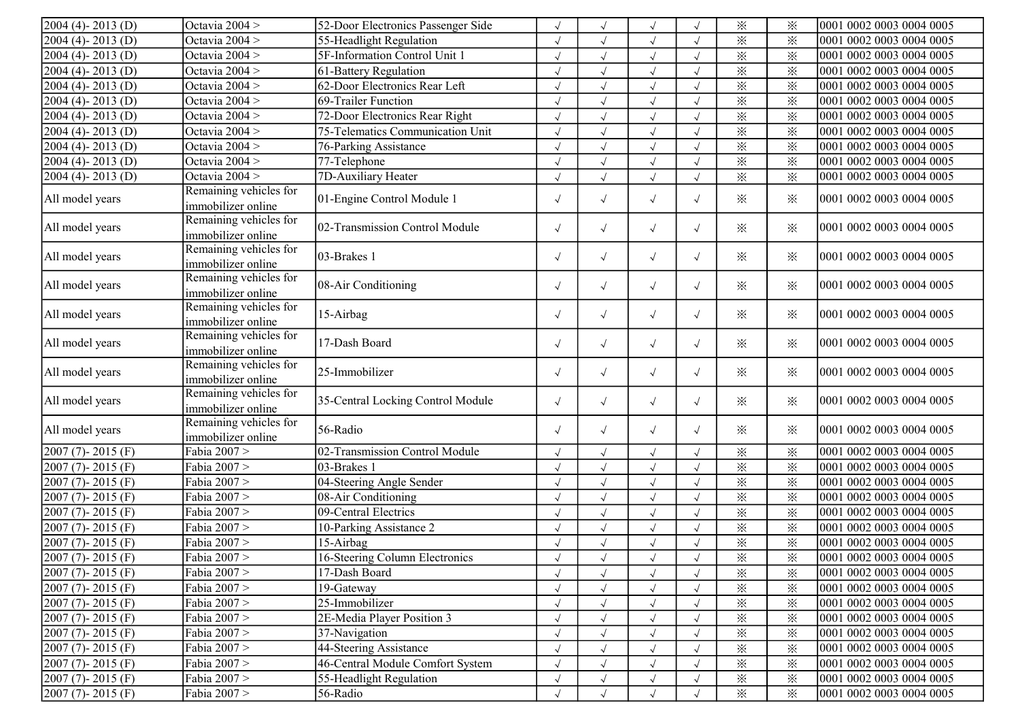| $2004(4) - 2013(D)$     | Octavia 2004 >                               | 52-Door Electronics Passenger Side |            |              | $\sqrt{ }$           |            | $\times$       | ⋇               | 0001 0002 0003 0004 0005 |
|-------------------------|----------------------------------------------|------------------------------------|------------|--------------|----------------------|------------|----------------|-----------------|--------------------------|
| $2004(4) - 2013(D)$     | Octavia 2004 >                               | 55-Headlight Regulation            |            |              | $\sqrt{ }$           |            | $\times$       | $\times$        | 0001 0002 0003 0004 0005 |
| $2004(4) - 2013(D)$     | Octavia 2004 >                               | 5F-Information Control Unit 1      |            | $\sqrt{ }$   | $\sqrt{ }$           | $\sqrt{}$  | $\times$       | $\times$        | 0001 0002 0003 0004 0005 |
| $2004(4) - 2013(D)$     | Octavia 2004 >                               | 61-Battery Regulation              |            | $\sqrt{ }$   | $\sqrt{ }$           | $\sqrt{}$  | $\times$       | $\times$        | 0001 0002 0003 0004 0005 |
| $2004(4) - 2013(D)$     | Octavia 2004 >                               | 62-Door Electronics Rear Left      |            | $\sqrt{ }$   | $\sqrt{ }$           | $\sqrt{}$  | $\times$       | $\times$        | 0001 0002 0003 0004 0005 |
| $2004(4) - 2013(D)$     | Octavia 2004 >                               | 69-Trailer Function                |            | $\sqrt{ }$   | $\sqrt{ }$           |            | $\times$       | $\times$        | 0001 0002 0003 0004 0005 |
| $2004(4) - 2013(D)$     | Octavia 2004 >                               | 72-Door Electronics Rear Right     |            |              | $\sqrt{ }$           |            | ⋇              | $\times$        | 0001 0002 0003 0004 0005 |
| $2004(4) - 2013(D)$     | Octavia 2004 >                               | 75-Telematics Communication Unit   |            | $\checkmark$ | $\sqrt{ }$           | $\sqrt{}$  | $\times$       | $\times$        | 0001 0002 0003 0004 0005 |
| $2004(4) - 2013(D)$     | Octavia 2004 >                               | 76-Parking Assistance              | $\sqrt{}$  | $\sqrt{ }$   | $\sqrt{ }$           | $\sqrt{}$  | $\times$       | $\times$        | 0001 0002 0003 0004 0005 |
| $2004(4) - 2013(D)$     | Octavia 2004 >                               | 77-Telephone                       |            | $\sqrt{ }$   | $\sqrt{\phantom{a}}$ | $\sqrt{ }$ | $\dot{\times}$ | $\times$        | 0001 0002 0003 0004 0005 |
| 2004 (4)-2013 (D)       | Octavia 2004 >                               | 7D-Auxiliary Heater                | $\sqrt{2}$ | $\sqrt{2}$   | $\sqrt{2}$           | $\sqrt{2}$ | $\times$       | $\times$        | 0001 0002 0003 0004 0005 |
| All model years         | Remaining vehicles for<br>immobilizer online | 01-Engine Control Module 1         |            | $\sqrt{ }$   | $\sqrt{ }$           | $\sqrt{}$  | ⋇              | ⋇               | 0001 0002 0003 0004 0005 |
| All model years         | Remaining vehicles for<br>immobilizer online | 02-Transmission Control Module     |            | $\sqrt{ }$   | $\sqrt{\phantom{a}}$ | $\sqrt{2}$ | $\times$       | ⋇               | 0001 0002 0003 0004 0005 |
| All model years         | Remaining vehicles for<br>immobilizer online | 03-Brakes 1                        |            | $\sqrt{ }$   | $\sqrt{ }$           | $\sqrt{2}$ | ⋇              | ⋇               | 0001 0002 0003 0004 0005 |
| All model years         | Remaining vehicles for<br>immobilizer online | 08-Air Conditioning                |            | $\sqrt{ }$   | $\sqrt{\phantom{a}}$ | $\sqrt{}$  | $\times$       | ⋇               | 0001 0002 0003 0004 0005 |
| All model years         | Remaining vehicles for<br>immobilizer online | 15-Airbag                          |            | $\sqrt{ }$   | $\sqrt{\phantom{a}}$ | $\sqrt{ }$ | $\times$       | $\times$        | 0001 0002 0003 0004 0005 |
| All model years         | Remaining vehicles for<br>immobilizer online | 17-Dash Board                      |            | $\sqrt{}$    | $\sqrt{\phantom{a}}$ | $\sqrt{ }$ | $\times$       | $\times$        | 0001 0002 0003 0004 0005 |
| All model years         | Remaining vehicles for<br>immobilizer online | 25-Immobilizer                     | $\sqrt{ }$ | $\sqrt{}$    | $\sqrt{\phantom{a}}$ | $\sqrt{ }$ | ⋇              | $\times$        | 0001 0002 0003 0004 0005 |
| All model years         | Remaining vehicles for<br>immobilizer online | 35-Central Locking Control Module  | $\sqrt{ }$ | $\sqrt{ }$   | $\sqrt{ }$           | $\sqrt{ }$ | ⋇              | $\times$        | 0001 0002 0003 0004 0005 |
| All model years         | Remaining vehicles for<br>immobilizer online | 56-Radio                           | $\sqrt{}$  | $\sqrt{ }$   | $\sqrt{ }$           | $\sqrt{}$  | ⋇              | $\times$        | 0001 0002 0003 0004 0005 |
| $2007(7) - 2015(F)$     | Fabia 2007 >                                 | 02-Transmission Control Module     | $\sqrt{}$  | $\sqrt{ }$   | $\sqrt{ }$           | $\sqrt{ }$ | $\times$       | $\times$        | 0001 0002 0003 0004 0005 |
| 2007 (7)-2015 (F)       | Fabia 2007 >                                 | 03-Brakes 1                        | $\sqrt{}$  | $\sqrt{ }$   | $\sqrt{ }$           | $\sqrt{2}$ | $\times$       | $\times$        | 0001 0002 0003 0004 0005 |
| $2007(7) - 2015(F)$     | Fabia 2007 >                                 | 04-Steering Angle Sender           |            | $\checkmark$ | $\sqrt{ }$           |            | $\times$       | $\times$        | 0001 0002 0003 0004 0005 |
| $2007(7) - 2015(F)$     | Fabia 2007 >                                 | 08-Air Conditioning                |            |              | $\sqrt{\phantom{a}}$ |            | $\times$       | $\times$        | 0001 0002 0003 0004 0005 |
| $2007 (7) - 2015 (F)$   | Fabia 2007 >                                 | 09-Central Electrics               |            |              | $\sqrt{ }$           |            | $\times$       | $\times$        | 0001 0002 0003 0004 0005 |
| $2007(7) - 2015(F)$     | Fabia 2007 >                                 | 10-Parking Assistance 2            |            |              | $\sqrt{\phantom{a}}$ | $\sqrt{}$  | $\times$       | $\times$        | 0001 0002 0003 0004 0005 |
| $2007(7) - 2015(F)$     | Fabia 2007 >                                 | 15-Airbag                          |            | $\sqrt{ }$   | $\sqrt{\phantom{a}}$ | $\sqrt{2}$ | $\times$       | $\times$        | 0001 0002 0003 0004 0005 |
| $2007 (7) - 2015 (F)$   | Fabia 2007 >                                 | 16-Steering Column Electronics     | $\cdot$    | $\cdot$      | $\sqrt{\phantom{a}}$ | $\sqrt{ }$ | $\times$       | -≫<br>$\lambda$ | 0001 0002 0003 0004 0005 |
| $2007(7) - 2015(F)$     | Fabia 2007 >                                 | 17-Dash Board                      |            |              |                      |            | $\times$       | ⋇               | 0001 0002 0003 0004 0005 |
| $[2007 (7) - 2015 (F)]$ | Fabia 2007 >                                 | 19-Gateway                         |            |              |                      |            | $\times$       | ⋇               | 0001 0002 0003 0004 0005 |
| $2007 (7) - 2015 (F)$   | Fabia 2007 >                                 | 25-Immobilizer                     |            |              | $\sqrt{ }$           |            | $\times$       | $\times$        | 0001 0002 0003 0004 0005 |
| $2007 (7) - 2015 (F)$   | Fabia 2007 >                                 | 2E-Media Player Position 3         |            |              | $\sqrt{ }$           |            | $\times$       | ⋇               | 0001 0002 0003 0004 0005 |
| $2007 (7) - 2015 (F)$   | Fabia 2007 >                                 | 37-Navigation                      |            |              | $\sqrt{ }$           |            | $\times$       | $\times$        | 0001 0002 0003 0004 0005 |
| $2007 (7) - 2015 (F)$   | Fabia 2007 >                                 | 44-Steering Assistance             |            |              | $\sqrt{ }$           |            | $\times$       | ⋇               | 0001 0002 0003 0004 0005 |
| $2007 (7) - 2015 (F)$   | Fabia 2007 >                                 | 46-Central Module Comfort System   |            |              | $\sqrt{2}$           |            | $\times$       | $\times$        | 0001 0002 0003 0004 0005 |
| $2007 (7) - 2015 (F)$   | Fabia 2007 >                                 | 55-Headlight Regulation            |            |              | $\sqrt{ }$           |            | $\times$       | $\times$        | 0001 0002 0003 0004 0005 |
| $[2007 (7) - 2015 (F)]$ | Fabia 2007 >                                 | 56-Radio                           |            |              |                      |            | $\times$       | ⋇               | 0001 0002 0003 0004 0005 |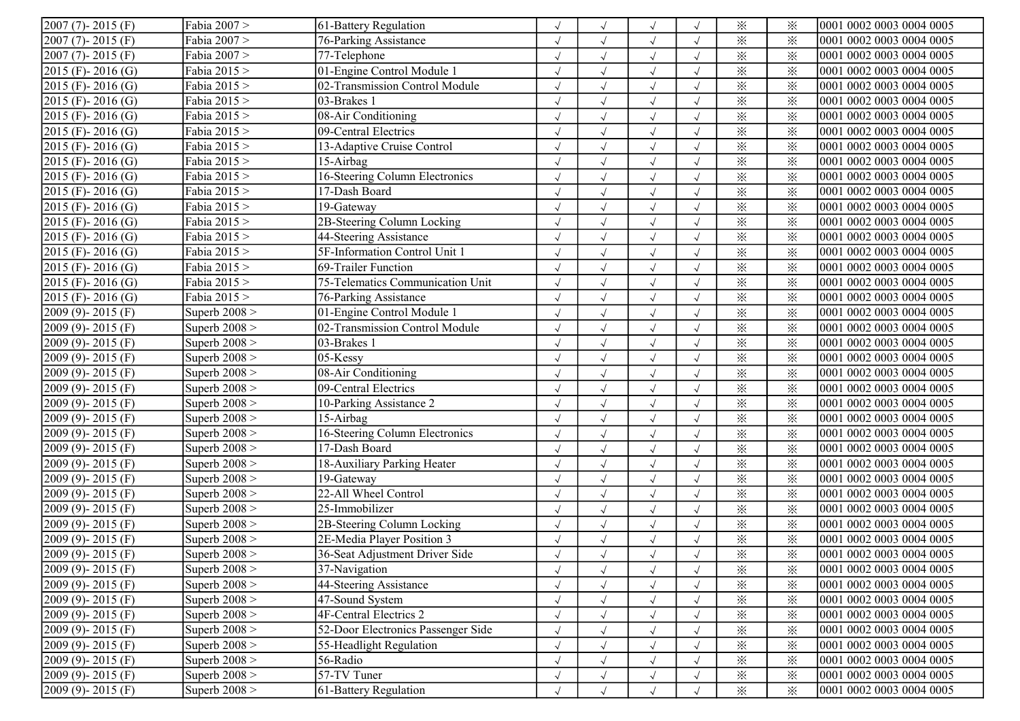| $2007 (7) - 2015 (F)$   | Fabia 2007 >    | 61-Battery Regulation              |            | $\sqrt{ }$           | $\sqrt{ }$   | $\sqrt{}$  | $\times$                | ⋇        | 0001 0002 0003 0004 0005 |
|-------------------------|-----------------|------------------------------------|------------|----------------------|--------------|------------|-------------------------|----------|--------------------------|
| $2007(7) - 2015(F)$     | Fabia 2007 >    | 76-Parking Assistance              | $\sqrt{}$  | $\sqrt{ }$           | $\sqrt{ }$   | $\sqrt{}$  | $\times$                | $\times$ | 0001 0002 0003 0004 0005 |
| $2007 (7) - 2015 (F)$   | Fabia 2007 >    | 77-Telephone                       | $\sqrt{ }$ | $\checkmark$         | $\sqrt{ }$   | $\sqrt{}$  | $\times$                | $\times$ | 0001 0002 0003 0004 0005 |
| $2015$ (F) - 2016 (G)   | Fabia 2015 >    | 01-Engine Control Module 1         |            | $\checkmark$         | $\sqrt{ }$   |            | $\times$                | ⋇        | 0001 0002 0003 0004 0005 |
| $2015$ (F) - 2016 (G)   | Fabia 2015 >    | 02-Transmission Control Module     |            | $\sqrt{\phantom{a}}$ | $\sqrt{ }$   | $\sqrt{}$  | $\times$                | $\times$ | 0001 0002 0003 0004 0005 |
| $2015$ (F) - 2016 (G)   | Fabia 2015 >    | 03-Brakes 1                        |            | $\sqrt{ }$           | $\sqrt{ }$   | $\sqrt{ }$ | $\times$                | $\times$ | 0001 0002 0003 0004 0005 |
| $2015$ (F) - 2016 (G)   | Fabia 2015 >    | 08-Air Conditioning                | $\sqrt{ }$ | $\sqrt{ }$           | $\sqrt{ }$   | $\sqrt{}$  | $\times$                | ⋇        | 0001 0002 0003 0004 0005 |
| $2015$ (F) - 2016 (G)   | Fabia 2015 >    | 09-Central Electrics               |            | $\sqrt{ }$           | $\sqrt{ }$   | $\sqrt{}$  | $\times$                | $\times$ | 0001 0002 0003 0004 0005 |
| $2015$ (F) - 2016 (G)   | Fabia 2015 >    | 13-Adaptive Cruise Control         | $\cdot$ l  | $\sqrt{ }$           | $\sqrt{ }$   | $\sqrt{ }$ | ⋇                       | ⋇        | 0001 0002 0003 0004 0005 |
| $2015$ (F) - 2016 (G)   | Fabia 2015 >    | 15-Airbag                          |            | $\checkmark$         | $\checkmark$ |            | $\times$                | ⋇        | 0001 0002 0003 0004 0005 |
| $2015$ (F) - 2016 (G)   | Fabia 2015 >    | 16-Steering Column Electronics     |            | $\sqrt{ }$           | $\sqrt{ }$   |            | $\times$                | $\times$ | 0001 0002 0003 0004 0005 |
| $2015$ (F) - 2016 (G)   | Fabia 2015 >    | 17-Dash Board                      |            |                      | $\sqrt{ }$   | $\sqrt{ }$ | $\times$                | $\times$ | 0001 0002 0003 0004 0005 |
| $2015$ (F) - 2016 (G)   | Fabia 2015 >    | 19-Gateway                         | $\sqrt{ }$ | $\sqrt{ }$           | $\sqrt{ }$   | $\sqrt{ }$ | $\times$                | $\times$ | 0001 0002 0003 0004 0005 |
| $2015$ (F) - 2016 (G)   | Fabia 2015 >    | 2B-Steering Column Locking         | $\sqrt{ }$ | $\sqrt{ }$           | $\sqrt{ }$   | $\sqrt{}$  | $\times$                | ⋇        | 0001 0002 0003 0004 0005 |
| $2015$ (F) - 2016 (G)   | Fabia 2015 >    | 44-Steering Assistance             | $\sqrt{ }$ | $\sqrt{ }$           | $\sqrt{ }$   | $\sqrt{ }$ | $\times$                | $\times$ | 0001 0002 0003 0004 0005 |
| $2015$ (F) - 2016 (G)   | Fabia 2015 >    | 5F-Information Control Unit 1      |            | $\sqrt{ }$           | $\sqrt{ }$   | $\sqrt{ }$ | $\times$                | $\times$ | 0001 0002 0003 0004 0005 |
| $2015$ (F) - 2016 (G)   | Fabia 2015 >    | 69-Trailer Function                |            | $\sqrt{ }$           | $\sqrt{ }$   |            | $\times$                | $\times$ | 0001 0002 0003 0004 0005 |
| $2015$ (F) - 2016 (G)   | Fabia 2015 >    | 75-Telematics Communication Unit   |            | $\sqrt{ }$           | $\sqrt{ }$   |            | ⋇                       | $\times$ | 0001 0002 0003 0004 0005 |
| $2015$ (F) - 2016 (G)   | Fabia 2015 >    | 76-Parking Assistance              | $\sqrt{ }$ | $\sqrt{ }$           | $\sqrt{ }$   | $\sqrt{}$  | $\times$                | $\times$ | 0001 0002 0003 0004 0005 |
| $2009(9) - 2015(F)$     | Superb $2008$ > | 01-Engine Control Module 1         | $\sqrt{ }$ | $\sqrt{ }$           | $\sqrt{ }$   | $\sqrt{}$  | $\times$                | $\times$ | 0001 0002 0003 0004 0005 |
| $2009(9) - 2015(F)$     | Superb $2008$ > | 02-Transmission Control Module     | $\cdot$ l  | $\sqrt{ }$           | $\sqrt{ }$   | $\sqrt{ }$ | ⋇                       | ⋇        | 0001 0002 0003 0004 0005 |
| $2009(9) - 2015(F)$     | Superb $2008$ > | 03-Brakes 1                        |            | $\sqrt{ }$           | $\sqrt{ }$   | $\sqrt{}$  | ⋇                       | $\times$ | 0001 0002 0003 0004 0005 |
| $2009(9) - 2015(F)$     | Superb $2008$ > | 05-Kessy                           |            | $\checkmark$         | $\checkmark$ | $\sqrt{}$  | $\times$                | ⋇        | 0001 0002 0003 0004 0005 |
| $2009(9) - 2015(F)$     | Superb $2008$ > | 08-Air Conditioning                |            |                      | $\sqrt{ }$   |            | ⋇                       | $\times$ | 0001 0002 0003 0004 0005 |
| $2009(9) - 2015(F)$     | Superb $2008$ > | 09-Central Electrics               |            | $\sqrt{ }$           | $\sqrt{ }$   | $\sqrt{2}$ | $\times$                | $\times$ | 0001 0002 0003 0004 0005 |
| $2009(9) - 2015(F)$     | Superb $2008$ > | 10-Parking Assistance 2            |            | $\sqrt{ }$           | $\sqrt{ }$   | $\sqrt{}$  | $\overline{\mathbf{x}}$ | $\times$ | 0001 0002 0003 0004 0005 |
| 2009 (9)-2015 (F)       | Superb $2008$ > | 15-Airbag                          |            | $\sqrt{ }$           | $\sqrt{ }$   | $\sqrt{}$  | $\times$                | ⋇        | 0001 0002 0003 0004 0005 |
| $2009(9) - 2015(F)$     | Superb $2008$ > | 16-Steering Column Electronics     |            | $\sqrt{ }$           | $\sqrt{ }$   | $\sqrt{}$  | $\times$                | $\times$ | 0001 0002 0003 0004 0005 |
| $2009(9) - 2015(F)$     | Superb $2008$ > | 17-Dash Board                      |            | $\sqrt{ }$           | $\sqrt{ }$   |            | $\times$                | ⋇        | 0001 0002 0003 0004 0005 |
| $2009(9) - 2015(F)$     | Superb $2008$ > | 18-Auxiliary Parking Heater        |            |                      | $\sqrt{ }$   |            | $\times$                | ⋇        | 0001 0002 0003 0004 0005 |
| $2009(9) - 2015(F)$     | Superb $2008$ > | 19-Gateway                         | $\sqrt{ }$ | $\sqrt{ }$           | $\sqrt{ }$   | $\sqrt{}$  | $\times$                | ⋇        | 0001 0002 0003 0004 0005 |
| $2009(9) - 2015(F)$     | Superb $2008$ > | 22-All Wheel Control               | $\sqrt{ }$ | $\sqrt{ }$           | $\sqrt{ }$   | $\sqrt{}$  | $\times$                | $\times$ | 0001 0002 0003 0004 0005 |
| $2009(9) - 2015(F)$     | Superb $2008$ > | 25-Immobilizer                     | $\sqrt{ }$ | $\sqrt{ }$           | $\sqrt{ }$   | $\sqrt{}$  | $\times$                | ⋇        | 0001 0002 0003 0004 0005 |
| $[2009 (9) - 2015 (F)]$ | Superb $2008$ > | 2B-Steering Column Locking         |            | $\sqrt{ }$           | $\sqrt{ }$   | $\sqrt{ }$ | ⋇                       | $\times$ | 0001 0002 0003 0004 0005 |
| $2009(9) - 2015(F)$     | Superb $2008$ > | 2E-Media Player Position 3         |            |                      | $\sqrt{ }$   |            | $\times$                | ⋇        | 0001 0002 0003 0004 0005 |
| $2009(9) - 2015(F)$     | Superb $2008$ > | 36-Seat Adjustment Driver Side     |            |                      |              |            | $\times$                | $\times$ | 0001 0002 0003 0004 0005 |
| $2009(9) - 2015(F)$     | Superb $2008$ > | 37-Navigation                      | $\sqrt{ }$ | $\sqrt{ }$           | $\sqrt{ }$   | $\sqrt{2}$ | $\times$                | $\times$ | 0001 0002 0003 0004 0005 |
| $[2009 (9) - 2015 (F)]$ | Superb $2008$ > | 44-Steering Assistance             |            |                      | $\sqrt{ }$   | $\sqrt{}$  | $\times$                | $\times$ | 0001 0002 0003 0004 0005 |
| $2009(9) - 2015(F)$     | Superb $2008$ > | 47-Sound System                    | $\sqrt{ }$ | $\sqrt{ }$           | $\sqrt{ }$   | $\sqrt{}$  | $\times$                | $\times$ | 0001 0002 0003 0004 0005 |
| $[2009 (9) - 2015 (F)]$ | Superb $2008$ > | 4F-Central Electrics 2             |            | $\sqrt{}$            | $\sqrt{ }$   | $\sqrt{}$  | $\times$                | $\times$ | 0001 0002 0003 0004 0005 |
| $2009(9) - 2015(F)$     | Superb $2008$ > | 52-Door Electronics Passenger Side |            |                      | $\sqrt{ }$   |            | $\times$                | $\times$ | 0001 0002 0003 0004 0005 |
| $2009(9) - 2015(F)$     | Superb $2008$ > | 55-Headlight Regulation            |            |                      | $\sqrt{ }$   |            | $\times$                | $\times$ | 0001 0002 0003 0004 0005 |
| $2009(9) - 2015(F)$     | Superb $2008$ > | 56-Radio                           |            | $\sqrt{ }$           | $\sqrt{ }$   |            | $\times$                | $\times$ | 0001 0002 0003 0004 0005 |
| $[2009 (9) - 2015 (F)]$ | Superb $2008$ > | 57-TV Tuner                        |            | $\sqrt{ }$           | $\sqrt{ }$   | $\sqrt{ }$ | $\times$                | $\times$ | 0001 0002 0003 0004 0005 |
| $2009(9) - 2015(F)$     | Superb $2008$ > | 61-Battery Regulation              | $\sqrt{ }$ | $\sqrt{ }$           | $\sqrt{ }$   | $\sqrt{}$  | $\times$                | $\times$ | 0001 0002 0003 0004 0005 |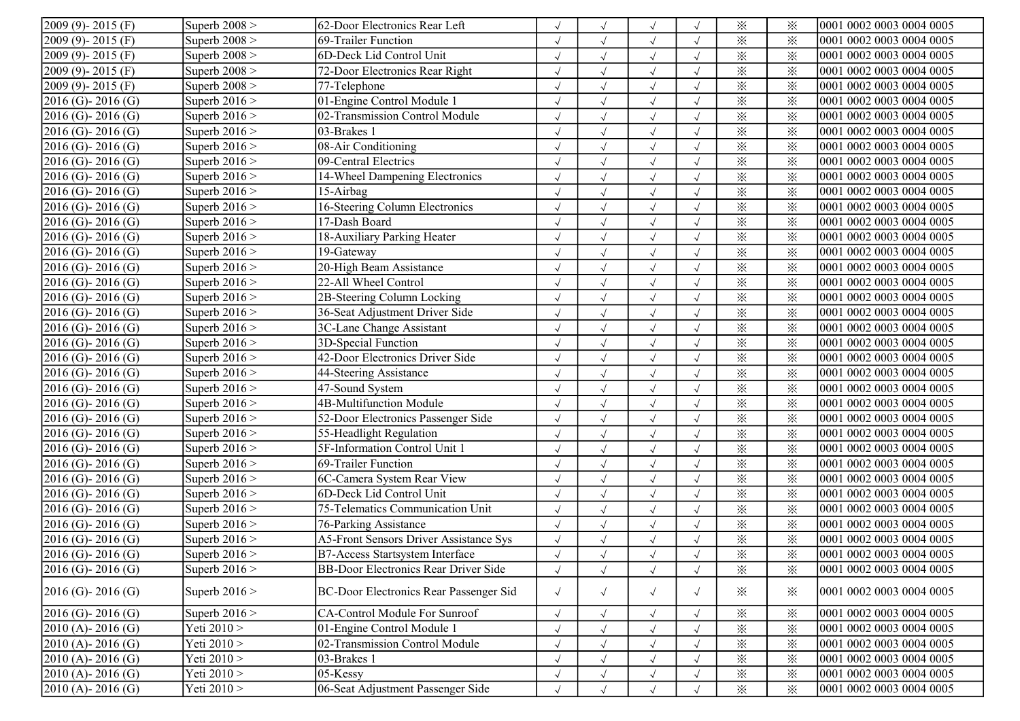| $2009(9) - 2015(F)$    | Superb $2008$ > | 62-Door Electronics Rear Left                 |            |              | $\sqrt{ }$           |            | $\times$ | ⋇        | 0001 0002 0003 0004 0005 |
|------------------------|-----------------|-----------------------------------------------|------------|--------------|----------------------|------------|----------|----------|--------------------------|
| $2009(9) - 2015(F)$    | Superb $2008$ > | 69-Trailer Function                           |            |              | $\sqrt{ }$           |            | $\times$ | ⋇        | 0001 0002 0003 0004 0005 |
| $2009(9) - 2015(F)$    | Superb $2008$ > | 6D-Deck Lid Control Unit                      | $\sqrt{}$  | $\sqrt{ }$   | $\sqrt{ }$           | $\sqrt{ }$ | $\times$ | ⋇        | 0001 0002 0003 0004 0005 |
| $2009(9) - 2015(F)$    | Superb $2008$ > | 72-Door Electronics Rear Right                |            | $\sqrt{ }$   | $\sqrt{ }$           | $\sqrt{ }$ | $\times$ | $\times$ | 0001 0002 0003 0004 0005 |
| $2009(9) - 2015(F)$    | Superb $2008$ > | 77-Telephone                                  |            | $\sqrt{ }$   | $\sqrt{ }$           | $\sqrt{}$  | $\times$ | $\times$ | 0001 0002 0003 0004 0005 |
| $2016$ (G)-2016 (G)    | Superb $2016$ > | 01-Engine Control Module 1                    |            | $\sqrt{ }$   | $\sqrt{ }$           | $\sqrt{ }$ | $\times$ | $\times$ | 0001 0002 0003 0004 0005 |
| $2016$ (G) - 2016 (G)  | Superb $2016$ > | 02-Transmission Control Module                |            | $\sqrt{}$    | $\sqrt{ }$           |            | $\times$ | $\times$ | 0001 0002 0003 0004 0005 |
| $2016$ (G) - 2016 (G)  | Superb $2016$ > | 03-Brakes 1                                   |            | $\sqrt{ }$   | $\sqrt{ }$           | $\sqrt{ }$ | $\times$ | $\times$ | 0001 0002 0003 0004 0005 |
| $2016$ (G) - 2016 (G)  | Superb $2016$ > | 08-Air Conditioning                           |            | $\sqrt{ }$   | $\sqrt{ }$           | $\sqrt{ }$ | $\times$ | $\times$ | 0001 0002 0003 0004 0005 |
| $2016$ (G) - 2016 (G)  | Superb $2016$ > | 09-Central Electrics                          |            | $\sqrt{}$    | $\sqrt{ }$           |            | $\times$ | $\times$ | 0001 0002 0003 0004 0005 |
| $2016$ (G) - 2016 (G)  | Superb $2016$ > | 14-Wheel Dampening Electronics                |            | $\sqrt{ }$   | $\sqrt{ }$           |            | $\times$ | $\times$ | 0001 0002 0003 0004 0005 |
| $2016$ (G) - 2016 (G)  | Superb $2016$ > | 15-Airbag                                     |            | $\sqrt{ }$   | $\sqrt{ }$           |            | $\times$ | $\times$ | 0001 0002 0003 0004 0005 |
| $2016$ (G) - 2016 (G)  | Superb $2016$ > | 16-Steering Column Electronics                |            |              | $\sqrt{ }$           |            | $\times$ | ⋇        | 0001 0002 0003 0004 0005 |
| $2016$ (G) - 2016 (G)  | Superb $2016$ > | 17-Dash Board                                 | $\sqrt{}$  | $\sqrt{ }$   | $\sqrt{ }$           |            | $\times$ | $\times$ | 0001 0002 0003 0004 0005 |
| $2016$ (G) - 2016 (G)  | Superb $2016$ > | 18-Auxiliary Parking Heater                   |            | $\sqrt{ }$   | $\sqrt{ }$           | $\sqrt{}$  | $\times$ | $\times$ | 0001 0002 0003 0004 0005 |
| $2016$ (G) - 2016 (G)  | Superb $2016$ > | 19-Gateway                                    | $\sqrt{}$  | $\sqrt{ }$   | $\sqrt{ }$           | $\sqrt{}$  | $\times$ | $\times$ | 0001 0002 0003 0004 0005 |
| $2016$ (G)-2016 (G)    | Superb $2016$ > | 20-High Beam Assistance                       |            | $\sqrt{ }$   | $\sqrt{ }$           |            | $\times$ | $\times$ | 0001 0002 0003 0004 0005 |
| $2016$ (G) - 2016 (G)  | Superb $2016$ > | 22-All Wheel Control                          |            | $\sqrt{ }$   | $\sqrt{ }$           | $\sqrt{ }$ | $\times$ | $\times$ | 0001 0002 0003 0004 0005 |
| $2016$ (G) - 2016 (G)  | Superb $2016$ > | 2B-Steering Column Locking                    |            | $\sqrt{ }$   | $\sqrt{ }$           |            | $\times$ | $\times$ | 0001 0002 0003 0004 0005 |
| $2016$ (G) - 2016 (G)  | Superb $2016$ > | 36-Seat Adjustment Driver Side                |            | $\sqrt{ }$   | $\sqrt{ }$           | $\sqrt{ }$ | $\times$ | $\times$ | 0001 0002 0003 0004 0005 |
| $2016$ (G) - 2016 (G)  | Superb $2016$ > | 3C-Lane Change Assistant                      | $\sqrt{ }$ | $\sqrt{ }$   | $\sqrt{ }$           | $\sqrt{ }$ | $\times$ | $\times$ | 0001 0002 0003 0004 0005 |
| $2016$ (G) - 2016 (G)  | Superb $2016$ > | 3D-Special Function                           | $\sqrt{ }$ | $\sqrt{ }$   | $\sqrt{ }$           | $\sqrt{ }$ | $\times$ | $\times$ | 0001 0002 0003 0004 0005 |
| $2016$ (G)-2016 (G)    | Superb $2016$ > | 42-Door Electronics Driver Side               | $\cdot$    | $\sqrt{ }$   | $\sqrt{ }$           | $\sqrt{}$  | $\times$ | $\times$ | 0001 0002 0003 0004 0005 |
| $2016$ (G) - 2016 (G)  | Superb $2016$ > | 44-Steering Assistance                        |            | $\sqrt{ }$   | $\sqrt{ }$           |            | $\times$ | $\times$ | 0001 0002 0003 0004 0005 |
| $2016$ (G) - 2016 (G)  | Superb $2016$ > | 47-Sound System                               |            | $\sqrt{ }$   | $\sqrt{ }$           |            | $\times$ | ፠        | 0001 0002 0003 0004 0005 |
| $2016$ (G) - 2016 (G)  | Superb $2016$ > | 4B-Multifunction Module                       |            | $\sqrt{ }$   | $\sqrt{ }$           |            | $\times$ | $\times$ | 0001 0002 0003 0004 0005 |
| $2016$ (G)- $2016$ (G) | Superb $2016$ > | 52-Door Electronics Passenger Side            |            | $\sqrt{ }$   | $\sqrt{ }$           | $\sqrt{ }$ | $\times$ | $\times$ | 0001 0002 0003 0004 0005 |
| $2016$ (G) - 2016 (G)  | Superb $2016$ > | 55-Headlight Regulation                       |            | $\sqrt{ }$   | $\sqrt{ }$           | $\sqrt{}$  | $\times$ | ⋇        | 0001 0002 0003 0004 0005 |
| $2016$ (G)-2016 (G)    | Superb $2016$ > | 5F-Information Control Unit 1                 | $\cdot$    | $\sqrt{ }$   | $\sqrt{ }$           | $\sqrt{}$  | $\times$ | $\times$ | 0001 0002 0003 0004 0005 |
| $2016$ (G)-2016 (G)    | Superb $2016$ > | 69-Trailer Function                           |            | $\checkmark$ | $\sqrt{ }$           | $\sqrt{ }$ | $\times$ | $\times$ | 0001 0002 0003 0004 0005 |
| $2016$ (G)-2016 (G)    | Superb $2016$ > | 6C-Camera System Rear View                    |            | $\sqrt{ }$   | $\sqrt{ }$           | $\sqrt{ }$ | $\times$ | $\times$ | 0001 0002 0003 0004 0005 |
| $2016$ (G) - 2016 (G)  | Superb $2016$ > | 6D-Deck Lid Control Unit                      |            |              | $\sqrt{ }$           |            | $\times$ | $\times$ | 0001 0002 0003 0004 0005 |
| $2016$ (G) - 2016 (G)  | Superb $2016$ > | 75-Telematics Communication Unit              | $\sqrt{ }$ | $\sqrt{ }$   | $\sqrt{ }$           | $\sqrt{ }$ | $\times$ | $\times$ | 0001 0002 0003 0004 0005 |
| $2016$ (G) - 2016 (G)  | Superb $2016$ > | 76-Parking Assistance                         | $\sqrt{ }$ | $\sqrt{ }$   | $\sqrt{ }$           | $\sqrt{ }$ | $\times$ | $\times$ | 0001 0002 0003 0004 0005 |
| $2016$ (G)-2016 (G)    | Superb $2016$ > | <b>A5-Front Sensors Driver Assistance Sys</b> |            |              | $\sqrt{ }$           |            | $\times$ | $\times$ | 0001 0002 0003 0004 0005 |
| $2016$ (G) - 2016 (G)  | Superb $2016$ > | <b>B7-Access Startsystem Interface</b>        |            |              |                      |            | $\times$ | $\times$ | 0001 0002 0003 0004 0005 |
| $2016$ (G) - 2016 (G)  | Superb $2016$ > | <b>BB-Door Electronics Rear Driver Side</b>   | $\sqrt{ }$ | $\sqrt{ }$   | $\sqrt{ }$           | $\sqrt{ }$ | $\times$ | ⋇        | 0001 0002 0003 0004 0005 |
| $2016$ (G) - 2016 (G)  | Superb $2016$ > | BC-Door Electronics Rear Passenger Sid        | $\sqrt{2}$ | $\sqrt{ }$   | $\sqrt{ }$           | $\sqrt{ }$ | $\times$ | $\times$ | 0001 0002 0003 0004 0005 |
| $2016$ (G) - 2016 (G)  | Superb $2016$ > | CA-Control Module For Sunroof                 |            | $\sqrt{ }$   | $\sqrt{ }$           | $\sqrt{ }$ | $\times$ | $\times$ | 0001 0002 0003 0004 0005 |
| $2010(A) - 2016(G)$    | Yeti 2010 >     | 01-Engine Control Module 1                    |            |              | $\sqrt{ }$           | $\sqrt{ }$ | $\times$ | $\times$ | 0001 0002 0003 0004 0005 |
| $2010(A) - 2016(G)$    | Yeti 2010 >     | 02-Transmission Control Module                |            | $\sqrt{ }$   | $\sqrt{ }$           | $\sqrt{ }$ | $\times$ | $\times$ | 0001 0002 0003 0004 0005 |
| $2010(A) - 2016(G)$    | Yeti 2010 >     | 03-Brakes 1                                   |            | $\sqrt{ }$   | $\sqrt{\phantom{a}}$ | $\sqrt{ }$ | $\times$ | $\times$ | 0001 0002 0003 0004 0005 |
| $2010(A) - 2016(G)$    | Yeti 2010 >     | $05$ -Kessy                                   |            | $\sqrt{ }$   | $\sqrt{\phantom{a}}$ | $\sqrt{ }$ | $\times$ | $\times$ | 0001 0002 0003 0004 0005 |
| $2010(A) - 2016(G)$    | Yeti 2010 >     | 06-Seat Adjustment Passenger Side             |            | $\sqrt{ }$   | $\sqrt{ }$           |            | $\times$ | $\times$ | 0001 0002 0003 0004 0005 |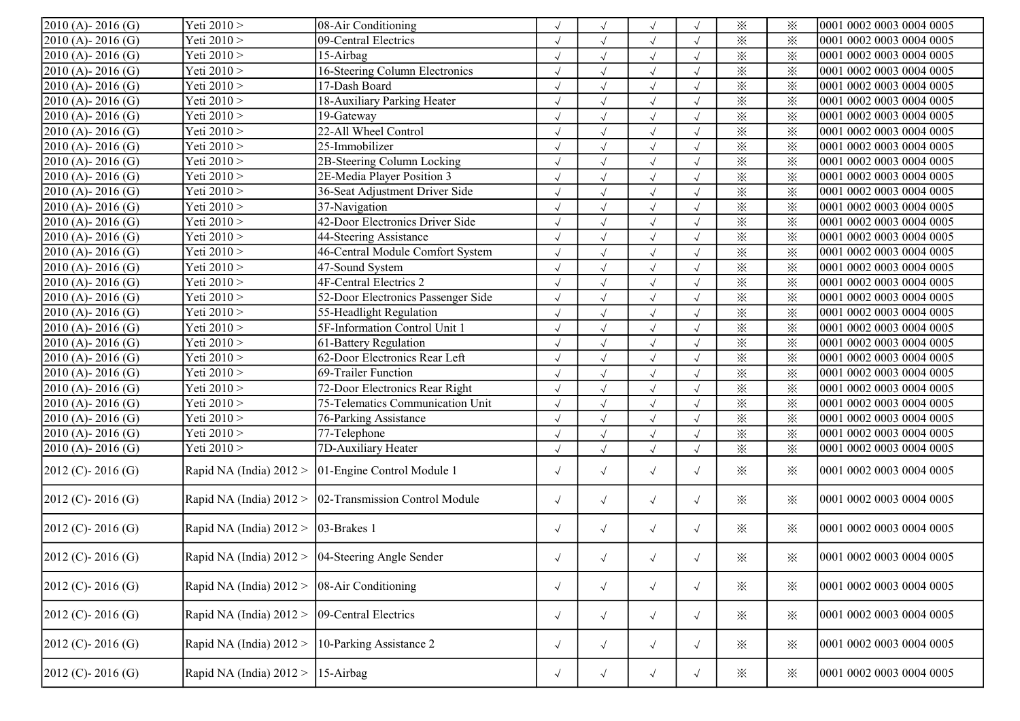| $2010(A) - 2016(G)$    | Yeti 2010 >                                      | 08-Air Conditioning                                    |            |            |                      |            | $\times$ | ፠               | 0001 0002 0003 0004 0005 |
|------------------------|--------------------------------------------------|--------------------------------------------------------|------------|------------|----------------------|------------|----------|-----------------|--------------------------|
| $2010(A) - 2016(G)$    | Yeti 2010 >                                      | 09-Central Electrics                                   |            |            | $\sqrt{ }$           | $\sqrt{ }$ | $\times$ | $\times$        | 0001 0002 0003 0004 0005 |
| $2010(A) - 2016(G)$    | Yeti 2010 >                                      | 15-Airbag                                              |            | $\sqrt{ }$ | $\sqrt{ }$           | $\sqrt{ }$ | $\times$ | $\times$        | 0001 0002 0003 0004 0005 |
| $2010(A) - 2016(G)$    | Yeti 2010 >                                      | 16-Steering Column Electronics                         | $\sqrt{}$  | $\sqrt{ }$ | $\sqrt{ }$           | $\sqrt{ }$ | $\times$ | $\times$        | 0001 0002 0003 0004 0005 |
| 2010 (A)-2016 (G)      | Yeti 2010 >                                      | 17-Dash Board                                          | $\sqrt{}$  | $\sqrt{ }$ | $\sqrt{ }$           | $\sqrt{ }$ | $\times$ | $\times$        | 0001 0002 0003 0004 0005 |
| $2010(A) - 2016(G)$    | Yeti 2010 >                                      | 18-Auxiliary Parking Heater                            |            | $\sqrt{ }$ | $\sqrt{ }$           | $\sqrt{}$  | $\times$ | $\times$        | 0001 0002 0003 0004 0005 |
| $2010(A) - 2016(G)$    | Yeti 2010 >                                      | 19-Gateway                                             |            |            |                      |            | $\times$ | $\ddot{\times}$ | 0001 0002 0003 0004 0005 |
| $2010(A) - 2016(G)$    | Yeti 2010 >                                      | 22-All Wheel Control                                   | $\sqrt{2}$ | $\sqrt{ }$ | $\sqrt{ }$           | $\sqrt{ }$ | $\times$ | $\times$        | 0001 0002 0003 0004 0005 |
| $2010(A) - 2016(G)$    | Yeti 2010 >                                      | 25-Immobilizer                                         | $\sqrt{}$  | $\sqrt{ }$ | $\sqrt{ }$           | $\sqrt{ }$ | $\times$ | $\times$        | 0001 0002 0003 0004 0005 |
| $2010(A) - 2016(G)$    | Yeti 2010 >                                      | 2B-Steering Column Locking                             | $\sqrt{}$  |            | $\sqrt{ }$           | $\sqrt{}$  | $\times$ | $\times$        | 0001 0002 0003 0004 0005 |
| 2010 (A)-2016 (G)      | Yeti 2010 >                                      | 2E-Media Player Position 3                             | $\sqrt{2}$ | $\sqrt{ }$ | $\sqrt{ }$           | $\sqrt{ }$ | $\times$ | $\times$        | 0001 0002 0003 0004 0005 |
| $2010(A) - 2016(G)$    | Yeti 2010 >                                      | 36-Seat Adjustment Driver Side                         |            | $\sqrt{ }$ | $\checkmark$         | $\sqrt{}$  | $\times$ | $\times$        | 0001 0002 0003 0004 0005 |
| $2010(A) - 2016(G)$    | Yeti 2010 >                                      | 37-Navigation                                          | $\sqrt{}$  |            | $\sqrt{ }$           | $\sqrt{}$  | $\times$ | $\times$        | 0001 0002 0003 0004 0005 |
| $2010(A) - 2016(G)$    | Yeti 2010 >                                      | 42-Door Electronics Driver Side                        |            |            | $\sqrt{ }$           | $\sqrt{ }$ | $\times$ | $\times$        | 0001 0002 0003 0004 0005 |
| $2010(A) - 2016(G)$    | Yeti 2010 >                                      | 44-Steering Assistance                                 | $\sqrt{ }$ | $\sqrt{ }$ | $\sqrt{ }$           | $\sqrt{}$  | $\times$ | $\times$        | 0001 0002 0003 0004 0005 |
| $2010(A) - 2016(G)$    | Yeti 2010 >                                      | 46-Central Module Comfort System                       | $\sqrt{}$  | $\sqrt{ }$ | $\sqrt{ }$           | $\sqrt{}$  | $\times$ | $\times$        | 0001 0002 0003 0004 0005 |
| 2010 (A)-2016 (G)      | Yeti 2010 >                                      | 47-Sound System                                        | $\sqrt{ }$ | $\sqrt{ }$ | $\sqrt{ }$           | $\sqrt{}$  | $\times$ | $\times$        | 0001 0002 0003 0004 0005 |
| $2010(A) - 2016(G)$    | Yeti 2010 >                                      | 4F-Central Electrics 2                                 | $\sqrt{ }$ | $\sqrt{ }$ | $\sqrt{ }$           | $\sqrt{}$  | $\times$ | $\times$        | 0001 0002 0003 0004 0005 |
| 2010 (A) - 2016 (G)    | Yeti 2010 >                                      | 52-Door Electronics Passenger Side                     | $\sqrt{}$  | $\sqrt{}$  | $\sqrt{ }$           | $\sqrt{}$  | $\times$ | $\times$        | 0001 0002 0003 0004 0005 |
| $2010(A) - 2016(G)$    | Yeti 2010 >                                      | 55-Headlight Regulation                                | $\sqrt{ }$ | $\sqrt{ }$ | $\sqrt{ }$           | $\sqrt{}$  | $\times$ | $\times$        | 0001 0002 0003 0004 0005 |
| $2010(A) - 2016(G)$    | Yeti 2010 >                                      | 5F-Information Control Unit 1                          | $\sqrt{2}$ | $\sqrt{ }$ | $\sqrt{ }$           | $\sqrt{ }$ | $\times$ | $\times$        | 0001 0002 0003 0004 0005 |
| $2010(A) - 2016(G)$    | Yeti 2010 >                                      | $\sqrt{61}$ -Battery Regulation                        | $\sqrt{2}$ | $\sqrt{ }$ | $\sqrt{ }$           | $\sqrt{ }$ | $\times$ | $\times$        | 0001 0002 0003 0004 0005 |
| $2010(A) - 2016(G)$    | Yeti 2010 >                                      | 62-Door Electronics Rear Left                          | $\sqrt{}$  | $\sqrt{ }$ | $\sqrt{ }$           | $\sqrt{ }$ | $\times$ | $\times$        | 0001 0002 0003 0004 0005 |
| 2010 (A)-2016 (G)      | Yeti 2010 >                                      | 69-Trailer Function                                    |            | $\sqrt{ }$ | $\sqrt{ }$           | $\sqrt{}$  | $\times$ | $\times$        | 0001 0002 0003 0004 0005 |
| $2010(A) - 2016(G)$    | Yeti 2010 >                                      | 72-Door Electronics Rear Right                         | $\sqrt{}$  | $\sqrt{}$  | $\sqrt{ }$           | $\sqrt{}$  | $\times$ | $\times$        | 0001 0002 0003 0004 0005 |
| $2010(A) - 2016(G)$    | Yeti 2010 >                                      | 75-Telematics Communication Unit                       |            |            | $\sqrt{ }$           | $\sqrt{ }$ | $\times$ | ፠               | 0001 0002 0003 0004 0005 |
| $2010(A) - 2016(G)$    | Yeti 2010 >                                      | 76-Parking Assistance                                  |            | $\sqrt{ }$ | $\sqrt{ }$           | $\sqrt{ }$ | $\times$ | $\times$        | 0001 0002 0003 0004 0005 |
| $2010(A) - 2016(G)$    | Yeti 2010 >                                      | 77-Telephone                                           | $\sqrt{2}$ | $\sqrt{ }$ | $\sqrt{\phantom{a}}$ | $\sqrt{ }$ | $\times$ | $\times$        | 0001 0002 0003 0004 0005 |
| $2010(A) - 2016(G)$    | Yeti 2010 >                                      | 7D-Auxiliary Heater                                    | $\sqrt{}$  | $\sqrt{ }$ | $\sqrt{ }$           | $\sqrt{ }$ | $\times$ | $\times$        | 0001 0002 0003 0004 0005 |
| $2012$ (C) - 2016 (G)  |                                                  | Rapid NA (India) 2012 > 01-Engine Control Module 1     | $\sqrt{2}$ | $\sqrt{ }$ | $\sqrt{ }$           | $\sqrt{ }$ | $\times$ | ፠               | 0001 0002 0003 0004 0005 |
| $2012$ (C) - 2016 (G)  |                                                  | Rapid NA (India) 2012 > 02-Transmission Control Module | $\sqrt{2}$ | $\sqrt{}$  | $\sqrt{ }$           | $\sqrt{ }$ | $\times$ | ፠               | 0001 0002 0003 0004 0005 |
| $[2012 (C)- 2016 (G)]$ | Rapid NA (India) $2012 >  03$ -Brakes 1          |                                                        | $\sqrt{ }$ | $\sqrt{}$  | $\sqrt{ }$           | $\sqrt{ }$ | $\times$ | ፠               | 0001 0002 0003 0004 0005 |
| $2012$ (C) - 2016 (G)  | Rapid NA (India) 2012 > 04-Steering Angle Sender |                                                        |            | $\sqrt{ }$ | $\sqrt{ }$           |            | $\times$ | $\times$        | 0001 0002 0003 0004 0005 |
| $2012$ (C) - 2016 (G)  | Rapid NA (India) $2012 >$                        | 08-Air Conditioning                                    | $\sqrt{ }$ | $\sqrt{}$  | $\sqrt{\phantom{a}}$ | $\sqrt{ }$ | $\times$ | $\times$        | 0001 0002 0003 0004 0005 |
| $2012$ (C) - 2016 (G)  | Rapid NA (India) 2012 >                          | 09-Central Electrics                                   | $\sqrt{ }$ | $\sqrt{}$  | $\sqrt{\phantom{a}}$ | $\sqrt{ }$ | $\times$ | $\times$        | 0001 0002 0003 0004 0005 |
| $2012$ (C) - 2016 (G)  | Rapid NA (India) $2012 >$                        | 10-Parking Assistance 2                                | $\sqrt{ }$ | $\sqrt{}$  | $\sqrt{\phantom{a}}$ | $\sqrt{ }$ | $\times$ | ፠               | 0001 0002 0003 0004 0005 |
| $2012$ (C) - 2016 (G)  | Rapid NA (India) 2012 >                          | $15-Airbag$                                            | $\sqrt{ }$ | $\sqrt{ }$ | $\sqrt{ }$           | $\sqrt{ }$ | $\times$ | $\ddot{\times}$ | 0001 0002 0003 0004 0005 |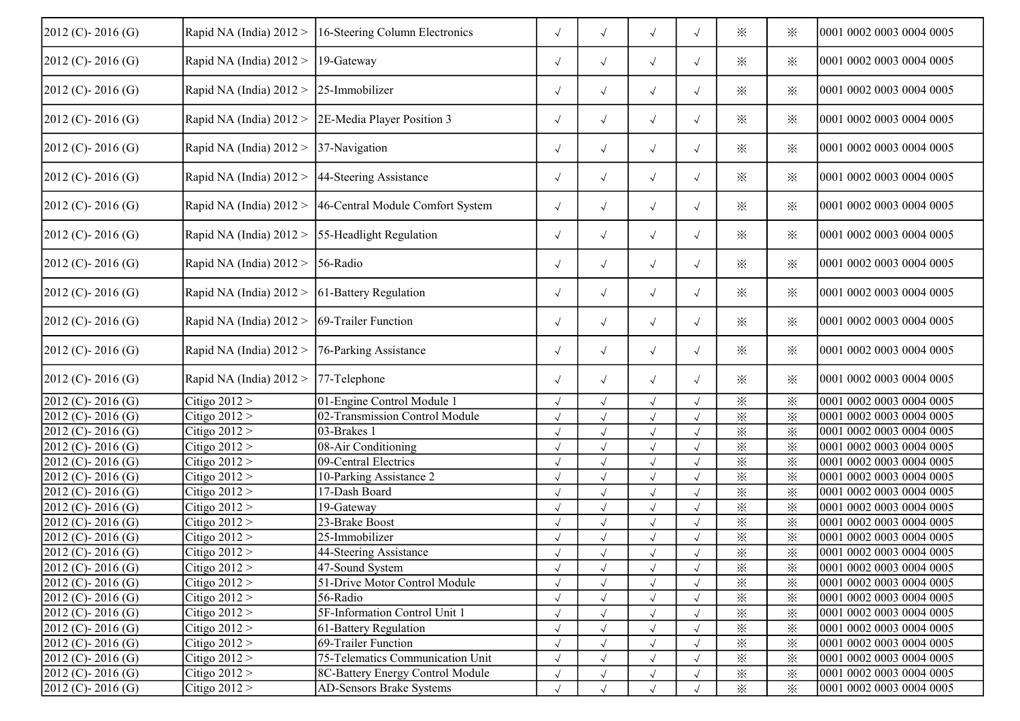| $2012$ (C) - 2016 (G) | Rapid NA (India) $2012 >$                         | 16-Steering Column Electronics                           | $\sqrt{ }$ | $\sqrt{ }$ | $\sqrt{ }$ | $\sqrt{ }$ | $\times$ | ⋇        | 0001 0002 0003 0004 0005 |
|-----------------------|---------------------------------------------------|----------------------------------------------------------|------------|------------|------------|------------|----------|----------|--------------------------|
| $2012$ (C) - 2016 (G) | Rapid NA (India) 2012 >                           | $19-Gateway$                                             | $\sqrt{ }$ | $\sqrt{ }$ | $\sqrt{}$  | $\sqrt{2}$ | ⋇        | $\times$ | 0001 0002 0003 0004 0005 |
| $2012$ (C) - 2016 (G) | Rapid NA (India) 2012 >                           | 25-Immobilizer                                           | $\sqrt{ }$ | $\sqrt{ }$ | $\sqrt{ }$ | $\sqrt{2}$ | ⋇        | $\times$ | 0001 0002 0003 0004 0005 |
| $2012$ (C) - 2016 (G) | Rapid NA (India) 2012 >                           | 2E-Media Player Position 3                               | $\sqrt{ }$ | $\sqrt{ }$ | $\sqrt{ }$ | $\sqrt{2}$ | $\times$ | ⋇        | 0001 0002 0003 0004 0005 |
| $2012$ (C) - 2016 (G) | Rapid NA (India) 2012 >                           | 37-Navigation                                            | $\sqrt{ }$ | $\sqrt{ }$ | $\sqrt{ }$ | $\sqrt{2}$ | $\times$ | ⋇        | 0001 0002 0003 0004 0005 |
| $2012$ (C) - 2016 (G) | Rapid NA (India) 2012 >                           | 44-Steering Assistance                                   | $\sqrt{ }$ | $\sqrt{ }$ | $\sqrt{ }$ | $\sqrt{2}$ | $\times$ | ⋇        | 0001 0002 0003 0004 0005 |
| $2012$ (C) - 2016 (G) |                                                   | Rapid NA (India) 2012 > 46-Central Module Comfort System | $\sqrt{ }$ | $\sqrt{ }$ | $\sqrt{ }$ | $\sqrt{ }$ | $\times$ | $\times$ | 0001 0002 0003 0004 0005 |
| $2012$ (C) - 2016 (G) | Rapid NA (India) 2012 >                           | 55-Headlight Regulation                                  | $\sqrt{ }$ | $\sqrt{ }$ | $\sqrt{ }$ | $\sqrt{ }$ | $\times$ | ⋇        | 0001 0002 0003 0004 0005 |
| $2012$ (C) - 2016 (G) | Rapid NA (India) 2012 >                           | $56$ -Radio                                              | $\sqrt{ }$ | $\sqrt{ }$ | $\sqrt{ }$ | $\sqrt{ }$ | $\times$ | ⋇        | 0001 0002 0003 0004 0005 |
| $2012$ (C) - 2016 (G) | Rapid NA (India) $2012 >  61$ -Battery Regulation |                                                          | $\sqrt{ }$ | $\sqrt{ }$ | $\sqrt{ }$ | $\sqrt{ }$ | $\times$ | ⋇        | 0001 0002 0003 0004 0005 |
| $2012$ (C) - 2016 (G) | Rapid NA (India) 2012 >                           | 69-Trailer Function                                      | $\sqrt{ }$ | $\sqrt{ }$ | $\sqrt{ }$ | $\sqrt{ }$ | $\times$ | ⋇        | 0001 0002 0003 0004 0005 |
| $2012$ (C) - 2016 (G) | Rapid NA (India) 2012 >                           | 76-Parking Assistance                                    | $\sqrt{ }$ | $\sqrt{ }$ | $\sqrt{ }$ | $\sqrt{ }$ | $\times$ | $\times$ | 0001 0002 0003 0004 0005 |
| $2012$ (C) - 2016 (G) | Rapid NA (India) 2012 >                           | $77$ -Telephone                                          | $\sqrt{ }$ | $\sqrt{ }$ | $\sqrt{ }$ | $\sqrt{ }$ | $\times$ | $\times$ | 0001 0002 0003 0004 0005 |
| $2012$ (C) - 2016 (G) | Citigo $2012 >$                                   | 01-Engine Control Module 1                               |            | $\sqrt{}$  | $\sqrt{ }$ | $\sqrt{ }$ | $\times$ | $\times$ | 0001 0002 0003 0004 0005 |
| $2012$ (C) - 2016 (G) | Citigo $2012 >$                                   | 02-Transmission Control Module                           | $\sqrt{}$  | $\sqrt{}$  | $\sqrt{ }$ | $\sqrt{ }$ | $\times$ | $\times$ | 0001 0002 0003 0004 0005 |
| 2012 (C)-2016 (G)     | Citigo $2012 >$                                   | 03-Brakes 1                                              |            | $\sqrt{}$  | $\sqrt{ }$ |            | $\times$ | $\times$ | 0001 0002 0003 0004 0005 |
| 2012 (C)-2016 (G)     | Citigo $2012 >$                                   | 08-Air Conditioning                                      |            | $\sqrt{}$  | $\sqrt{ }$ |            | $\times$ | $\times$ | 0001 0002 0003 0004 0005 |
| 2012 (C)-2016 (G)     | Citigo $2012 >$                                   | 09-Central Electrics                                     |            | $\sqrt{}$  | $\sqrt{ }$ | $\sqrt{}$  | $\times$ | $\times$ | 0001 0002 0003 0004 0005 |
| 2012 (C)-2016 (G)     | Citigo $2012 >$                                   | 10-Parking Assistance 2                                  |            |            | $\sqrt{ }$ |            | $\times$ | $\times$ | 0001 0002 0003 0004 0005 |
| 2012 (C)-2016 (G)     | Citigo $2012 >$                                   | 17-Dash Board                                            |            | $\sqrt{}$  | $\sqrt{ }$ | $\sqrt{}$  | $\times$ | $\times$ | 0001 0002 0003 0004 0005 |
| 2012 (C)-2016 (G)     | Citigo $2012 >$                                   | 19-Gateway                                               | $\sqrt{}$  | $\sqrt{}$  | $\sqrt{ }$ | $\sqrt{2}$ | $\times$ | $\times$ | 0001 0002 0003 0004 0005 |
| $2012$ (C) - 2016 (G) | Citigo $2012 >$                                   | 23-Brake Boost                                           | $\sqrt{}$  | $\sqrt{}$  | $\sqrt{ }$ | $\sqrt{ }$ | $\times$ | $\times$ | 0001 0002 0003 0004 0005 |
| $2012$ (C) - 2016 (G) | Citigo $2012 >$                                   | 25-Immobilizer                                           |            | $\sqrt{}$  | $\sqrt{ }$ | $\sqrt{ }$ | $\times$ | $\times$ | 0001 0002 0003 0004 0005 |
| $2012$ (C) - 2016 (G) | Citigo $2012 >$                                   | 44-Steering Assistance                                   |            | $\sqrt{2}$ | $\sqrt{ }$ |            | $\times$ | $\times$ | 0001 0002 0003 0004 0005 |
| $2012$ (C) - 2016 (G) | Citigo $2012 >$                                   | 47-Sound System                                          | $\sqrt{ }$ | $\sqrt{ }$ | $\sqrt{ }$ | $\sqrt{}$  | $\times$ | ⋇        | 0001 0002 0003 0004 0005 |
| $2012$ (C) - 2016 (G) | Citigo $2012 >$                                   | 51-Drive Motor Control Module                            | $\sqrt{ }$ |            | $\sqrt{ }$ | $\sqrt{ }$ | $\times$ | $\times$ | 0001 0002 0003 0004 0005 |
| $2012$ (C) - 2016 (G) | Citigo $2012 >$                                   | 56-Radio                                                 |            |            | $\sqrt{ }$ |            | $\times$ | $\times$ | 0001 0002 0003 0004 0005 |
| $2012$ (C) - 2016 (G) | Citigo $2012 >$                                   | 5F-Information Control Unit 1                            | $\sqrt{}$  |            | $\sqrt{ }$ | $\sqrt{ }$ | $\times$ | $\times$ | 0001 0002 0003 0004 0005 |
| $2012$ (C) - 2016 (G) | Citigo $2012 >$                                   | 61-Battery Regulation                                    |            |            | $\sqrt{ }$ |            | $\times$ | ⋇        | 0001 0002 0003 0004 0005 |
| $2012$ (C) - 2016 (G) | Citigo $2012 >$                                   | 69-Trailer Function                                      |            |            |            |            | $\times$ | $\times$ | 0001 0002 0003 0004 0005 |
| $2012$ (C) - 2016 (G) | Citigo $2012 >$                                   | 75-Telematics Communication Unit                         |            |            | $\sqrt{ }$ |            | $\times$ | ⋇        | 0001 0002 0003 0004 0005 |
| $2012$ (C) - 2016 (G) | Citigo $2012 >$                                   | 8C-Battery Energy Control Module                         |            | $\sqrt{}$  | $\sqrt{ }$ |            | ⋇        | ⋇        | 0001 0002 0003 0004 0005 |
| $2012$ (C) - 2016 (G) | Citigo $2012 >$                                   | <b>AD-Sensors Brake Systems</b>                          |            | $\sqrt{}$  | $\sqrt{ }$ |            | $\times$ | $\times$ | 0001 0002 0003 0004 0005 |
|                       |                                                   |                                                          |            |            |            |            |          |          |                          |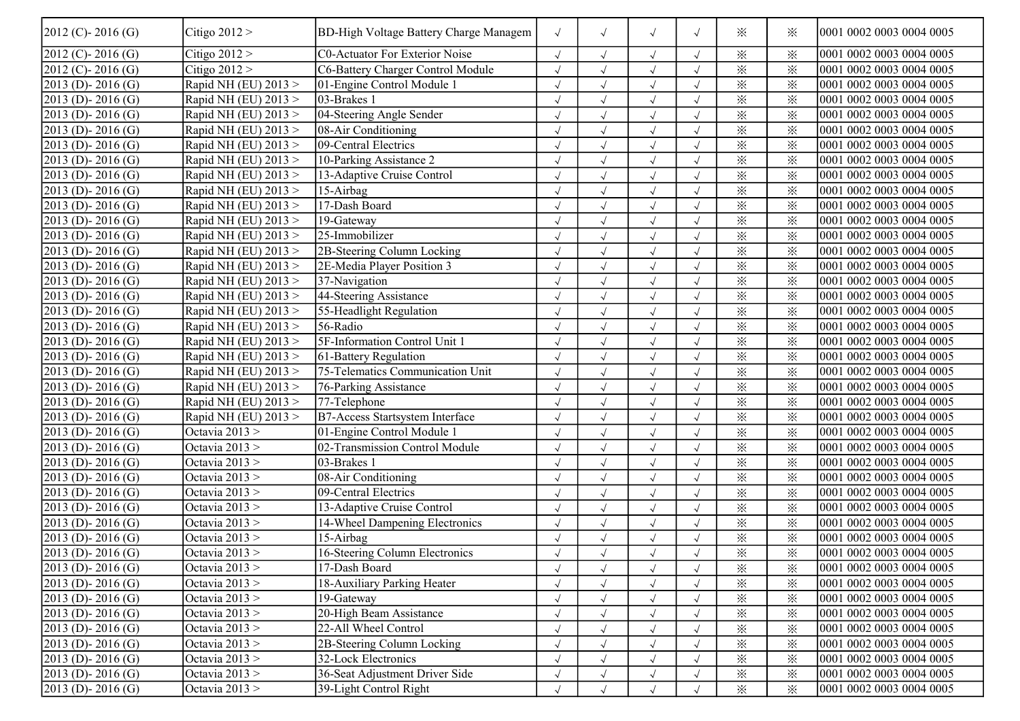| $2012$ (C) - 2016 (G) | Citigo $2012 >$        | <b>BD-High Voltage Battery Charge Managem</b> | $\sqrt{ }$ | $\sqrt{ }$           | $\sqrt{ }$           | $\sqrt{}$  | ⋇                      | ⋇        | 0001 0002 0003 0004 0005 |
|-----------------------|------------------------|-----------------------------------------------|------------|----------------------|----------------------|------------|------------------------|----------|--------------------------|
| $2012$ (C) - 2016 (G) | Citigo $2012 >$        | C0-Actuator For Exterior Noise                | $\sqrt{ }$ | $\sqrt{ }$           | $\sqrt{ }$           |            | $\times$               | $\times$ | 0001 0002 0003 0004 0005 |
| $2012$ (C) - 2016 (G) | Citigo $2012 >$        | C6-Battery Charger Control Module             |            | $\sqrt{ }$           | $\sqrt{ }$           | $\sqrt{}$  | $\times$               | $\times$ | 0001 0002 0003 0004 0005 |
| $2013$ (D) - 2016 (G) | Rapid NH (EU) 2013 >   | 01-Engine Control Module 1                    | $\sqrt{}$  | $\sqrt{ }$           | $\sqrt{ }$           | $\sqrt{2}$ | $\times$               | $\times$ | 0001 0002 0003 0004 0005 |
| $2013$ (D) - 2016 (G) | Rapid NH (EU) 2013 >   | 03-Brakes 1                                   | $\sqrt{}$  | $\sqrt{ }$           | $\sqrt{\phantom{a}}$ | $\sqrt{}$  | $\times$               | $\times$ | 0001 0002 0003 0004 0005 |
| $2013$ (D) - 2016 (G) | Rapid NH (EU) $2013 >$ | 04-Steering Angle Sender                      |            | $\sqrt{ }$           | $\sqrt{ }$           | $\sqrt{}$  | $\times$               | $\times$ | 0001 0002 0003 0004 0005 |
| $2013$ (D) - 2016 (G) | Rapid NH (EU) 2013 >   | $\sqrt{08-A}$ ir Conditioning                 |            | $\checkmark$         | $\sqrt{ }$           |            | $\times$               | $\times$ | 0001 0002 0003 0004 0005 |
| $2013$ (D) - 2016 (G) | Rapid NH (EU) 2013 >   | 09-Central Electrics                          |            | $\sqrt{ }$           | $\sqrt{ }$           |            | $\times$               | $\times$ | 0001 0002 0003 0004 0005 |
| $2013$ (D) - 2016 (G) | Rapid NH (EU) 2013 >   | 10-Parking Assistance 2                       | $\sqrt{}$  | $\sqrt{ }$           | $\sqrt{ }$           | $\sqrt{}$  | $\times$               | ⋇        | 0001 0002 0003 0004 0005 |
| $2013$ (D) - 2016 (G) | Rapid NH (EU) 2013 >   | 13-Adaptive Cruise Control                    | $\sqrt{}$  | $\sqrt{ }$           | $\sqrt{ }$           | $\sqrt{}$  | $\times$               | $\times$ | 0001 0002 0003 0004 0005 |
| $2013$ (D) - 2016 (G) | Rapid NH (EU) 2013 >   | 15-Airbag                                     | $\sqrt{ }$ | $\sqrt{ }$           | $\sqrt{}$            | $\sqrt{}$  | $\times$               | $\times$ | 0001 0002 0003 0004 0005 |
| $2013$ (D) - 2016 (G) | Rapid NH (EU) 2013 >   | 17-Dash Board                                 |            | $\checkmark$         | $\sqrt{ }$           |            | $\times$               | $\times$ | 0001 0002 0003 0004 0005 |
| $2013$ (D) - 2016 (G) | Rapid NH (EU) 2013 >   | 19-Gateway                                    |            | $\checkmark$         | $\sqrt{ }$           |            | $\times$               | $\times$ | 0001 0002 0003 0004 0005 |
| $2013$ (D) - 2016 (G) | Rapid NH (EU) 2013 >   | 25-Immobilizer                                |            | $\sqrt{ }$           | $\sqrt{ }$           |            | $\times$               | $\times$ | 0001 0002 0003 0004 0005 |
| $2013$ (D) - 2016 (G) | Rapid NH (EU) 2013 >   | 2B-Steering Column Locking                    |            | $\sqrt{ }$           | $\sqrt{ }$           |            | $\overline{\varkappa}$ | $\times$ | 0001 0002 0003 0004 0005 |
| $2013$ (D) - 2016 (G) | Rapid NH (EU) 2013 >   | 2E-Media Player Position 3                    |            | $\sqrt{ }$           | $\sqrt{ }$           | $\sqrt{}$  | $\times$               | $\times$ | 0001 0002 0003 0004 0005 |
| $2013$ (D) - 2016 (G) | Rapid NH (EU) 2013 >   | 37-Navigation                                 | $\sqrt{}$  | $\sqrt{\phantom{a}}$ | $\sqrt{\phantom{a}}$ | $\sqrt{}$  | $\times$               | $\times$ | 0001 0002 0003 0004 0005 |
| $2013$ (D) - 2016 (G) | Rapid NH (EU) $2013 >$ | 44-Steering Assistance                        | $\sqrt{ }$ | $\sqrt{ }$           | $\sqrt{ }$           | $\sqrt{}$  | $\times$               | $\times$ | 0001 0002 0003 0004 0005 |
| $2013$ (D) - 2016 (G) | Rapid NH (EU) $2013 >$ | 55-Headlight Regulation                       |            | $\checkmark$         | $\sqrt{ }$           |            | $\times$               | $\times$ | 0001 0002 0003 0004 0005 |
| $2013$ (D) - 2016 (G) | Rapid NH (EU) 2013 >   | 56-Radio                                      |            | $\checkmark$         | $\sqrt{ }$           |            | ⋇                      | $\times$ | 0001 0002 0003 0004 0005 |
| $2013$ (D) - 2016 (G) | Rapid NH (EU) 2013 >   | 5F-Information Control Unit 1                 |            | $\sqrt{ }$           | $\sqrt{ }$           | $\sqrt{}$  | $\overline{\varkappa}$ | $\times$ | 0001 0002 0003 0004 0005 |
| $2013$ (D) - 2016 (G) | Rapid NH (EU) 2013 >   | 61-Battery Regulation                         | $\sqrt{ }$ | $\sqrt{ }$           | $\sqrt{ }$           | $\sqrt{ }$ | $\times$               | $\times$ | 0001 0002 0003 0004 0005 |
| $2013$ (D) - 2016 (G) | Rapid NH (EU) 2013 >   | 75-Telematics Communication Unit              |            | $\sqrt{ }$           | $\sqrt{\phantom{a}}$ | $\sqrt{ }$ | $\times$               | $\times$ | 0001 0002 0003 0004 0005 |
| $2013$ (D) - 2016 (G) | Rapid NH (EU) 2013 >   | 76-Parking Assistance                         | $\sqrt{}$  | $\sqrt{ }$           | $\sqrt{ }$           | $\sqrt{2}$ | $\times$               | $\times$ | 0001 0002 0003 0004 0005 |
| $2013$ (D) - 2016 (G) | Rapid NH (EU) 2013 >   | 77-Telephone                                  |            | $\checkmark$         | $\sqrt{ }$           |            | $\times$               | $\times$ | 0001 0002 0003 0004 0005 |
| $2013$ (D) - 2016 (G) | Rapid NH (EU) 2013 >   | <b>B7-Access Startsystem Interface</b>        |            | $\sqrt{ }$           | $\sqrt{ }$           |            | $\times$               | $\times$ | 0001 0002 0003 0004 0005 |
| $2013$ (D) - 2016 (G) | Octavia 2013 >         | 01-Engine Control Module 1                    |            | $\sqrt{ }$           | $\sqrt{ }$           |            | $\times$               | $\times$ | 0001 0002 0003 0004 0005 |
| $2013$ (D) - 2016 (G) | Octavia 2013 >         | 02-Transmission Control Module                |            | $\sqrt{ }$           | $\sqrt{ }$           | $\sqrt{}$  | $\times$               | $\times$ | 0001 0002 0003 0004 0005 |
| $2013$ (D) - 2016 (G) | Octavia 2013 >         | 03-Brakes 1                                   |            | $\sqrt{\phantom{a}}$ | $\sqrt{ }$           | $\sqrt{2}$ | $\times$               | $\times$ | 0001 0002 0003 0004 0005 |
| $2013$ (D) - 2016 (G) | Octavia 2013 >         | 08-Air Conditioning                           |            | $\sqrt{ }$           | $\sqrt{ }$           | $\sqrt{}$  | $\times$               | $\times$ | 0001 0002 0003 0004 0005 |
| $2013$ (D) - 2016 (G) | Octavia $2013 >$       | 09-Central Electrics                          |            | $\sqrt{ }$           | $\sqrt{ }$           |            | $\times$               | $\times$ | 0001 0002 0003 0004 0005 |
| $2013$ (D) - 2016 (G) | Octavia $2013 >$       | 13-Adaptive Cruise Control                    |            | $\sqrt{ }$           | $\sqrt{ }$           |            | $\times$               | $\times$ | 0001 0002 0003 0004 0005 |
| $2013$ (D) - 2016 (G) | Octavia $2013 >$       | 14-Wheel Dampening Electronics                |            | $\sqrt{ }$           | $\sqrt{ }$           | $\sqrt{ }$ | $\times$               | $\times$ | 0001 0002 0003 0004 0005 |
| $2013$ (D) - 2016 (G) | Octavia 2013 >         | 15-Airbag                                     | $\sqrt{ }$ | $\sqrt{ }$           | $\sqrt{ }$           |            | $\times$               | $\times$ | 0001 0002 0003 0004 0005 |
| $2013$ (D) - 2016 (G) | Octavia 2013 >         | 16-Steering Column Electronics                | $\sqrt{ }$ | $\sqrt{ }$           | $\sqrt{ }$           |            | $\times$               | $\times$ | 0001 0002 0003 0004 0005 |
| $2013$ (D) - 2016 (G) | Octavia $2013 >$       | 17-Dash Board                                 | $\sqrt{ }$ | $\sqrt{ }$           | $\sqrt{ }$           | $\sqrt{ }$ | $\times$               | $\times$ | 0001 0002 0003 0004 0005 |
| $2013$ (D) - 2016 (G) | Octavia 2013 >         | 18-Auxiliary Parking Heater                   |            |                      |                      |            | $\times$               | $\times$ | 0001 0002 0003 0004 0005 |
| $2013$ (D) - 2016 (G) | Octavia $2013 >$       | 19-Gateway                                    |            |                      | $\sqrt{ }$           |            | $\times$               | $\times$ | 0001 0002 0003 0004 0005 |
| $2013$ (D) - 2016 (G) | Octavia 2013 >         | 20-High Beam Assistance                       |            |                      | $\sqrt{ }$           |            | $\times$               | $\times$ | 0001 0002 0003 0004 0005 |
| $2013$ (D) - 2016 (G) | Octavia $2013 >$       | 22-All Wheel Control                          | $\sqrt{}$  | $\sqrt{ }$           | $\sqrt{}$            | $\sqrt{ }$ | $\times$               | $\times$ | 0001 0002 0003 0004 0005 |
| $2013$ (D) - 2016 (G) | Octavia $2013 >$       | 2B-Steering Column Locking                    | $\sqrt{ }$ | $\sqrt{\phantom{a}}$ | $\sqrt{ }$           | $\sqrt{ }$ | $\times$               | $\times$ | 0001 0002 0003 0004 0005 |
| $2013$ (D) - 2016 (G) | Octavia $2013 >$       | 32-Lock Electronics                           |            | $\sqrt{ }$           | $\sqrt{ }$           | $\sqrt{}$  | $\times$               | $\times$ | 0001 0002 0003 0004 0005 |
| $2013$ (D) - 2016 (G) | Octavia $2013 >$       | 36-Seat Adjustment Driver Side                | $\sqrt{ }$ | $\sqrt{ }$           | $\sqrt{ }$           | $\sqrt{ }$ | $\times$               | $\times$ | 0001 0002 0003 0004 0005 |
| $2013$ (D) - 2016 (G) | Octavia $2013 >$       | 39-Light Control Right                        | $\sqrt{ }$ | $\sqrt{ }$           | $\sqrt{\phantom{a}}$ | $\sqrt{ }$ | $\times$               | $\times$ | 0001 0002 0003 0004 0005 |